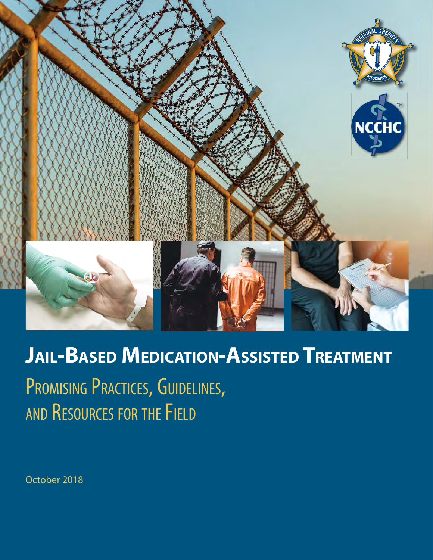

# **JAIL-BASED MEDICATION-ASSISTED TREATMENT** PROMISING PRACTICES, GUIDELINES, AND RESOURCES FOR THE FIELD

October 2018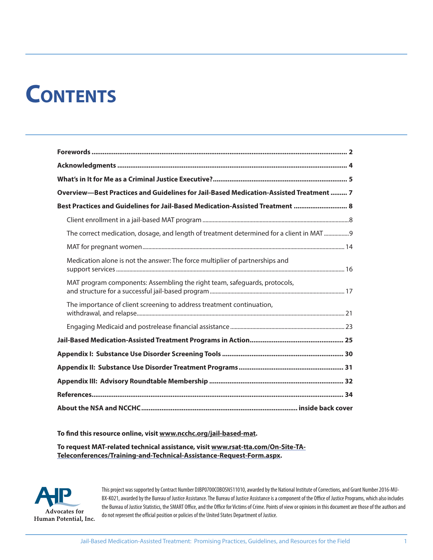# **CONTENTS**

| Overview-Best Practices and Guidelines for Jail-Based Medication-Assisted Treatment  7   |  |
|------------------------------------------------------------------------------------------|--|
| Best Practices and Guidelines for Jail-Based Medication-Assisted Treatment  8            |  |
|                                                                                          |  |
| The correct medication, dosage, and length of treatment determined for a client in MAT 9 |  |
|                                                                                          |  |
| Medication alone is not the answer: The force multiplier of partnerships and             |  |
| MAT program components: Assembling the right team, safeguards, protocols,                |  |
| The importance of client screening to address treatment continuation,                    |  |
|                                                                                          |  |
|                                                                                          |  |
|                                                                                          |  |
|                                                                                          |  |
|                                                                                          |  |
|                                                                                          |  |
|                                                                                          |  |

#### To find this resource online, visit www.ncchc.org/jail-based-mat.

**To request MAT-related technical assistance, visit www.rsat-tta.com/On-Site-TA-Teleconferences/Training-and-Technical-Assistance-Request-Form.aspx.**



This project was supported by Contract Number DJBP0700COBOSN511010, awarded by the National Institute of Corrections, and Grant Number 2016-MU-BX-K021, awarded by the Bureau of Justice Assistance. The Bureau of Justice Assistance is a component of the Office of Justice Programs, which also includes the Bureau of Justice Statistics, the SMART Office, and the Office for Victims of Crime. Points of view or opinions in this document are those of the authors and do not represent the official position or policies of the United States Department of Justice.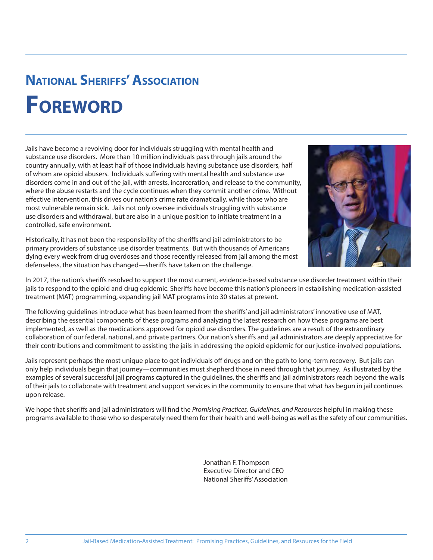## **NATIONAL SHERIFFS' ASSOCIATION FOREWORD**

Jails have become a revolving door for individuals struggling with mental health and substance use disorders. More than 10 million individuals pass through jails around the country annually, with at least half of those individuals having substance use disorders, half of whom are opioid abusers. Individuals suffering with mental health and substance use disorders come in and out of the jail, with arrests, incarceration, and release to the community, where the abuse restarts and the cycle continues when they commit another crime. Without effective intervention, this drives our nation's crime rate dramatically, while those who are most vulnerable remain sick. Jails not only oversee individuals struggling with substance use disorders and withdrawal, but are also in a unique position to initiate treatment in a controlled, safe environment.



Historically, it has not been the responsibility of the sheriffs and jail administrators to be primary providers of substance use disorder treatments. But with thousands of Americans dying every week from drug overdoses and those recently released from jail among the most defenseless, the situation has changed—sheriffs have taken on the challenge.

In 2017, the nation's sheriffs resolved to support the most current, evidence-based substance use disorder treatment within their jails to respond to the opioid and drug epidemic. Sheriffs have become this nation's pioneers in establishing medication-assisted treatment (MAT) programming, expanding jail MAT programs into 30 states at present.

The following guidelines introduce what has been learned from the sheriffs' and jail administrators' innovative use of MAT, describing the essential components of these programs and analyzing the latest research on how these programs are best implemented, as well as the medications approved for opioid use disorders. The guidelines are a result of the extraordinary collaboration of our federal, national, and private partners. Our nation's sheriffs and jail administrators are deeply appreciative for their contributions and commitment to assisting the jails in addressing the opioid epidemic for our justice-involved populations.

Jails represent perhaps the most unique place to get individuals off drugs and on the path to long-term recovery. But jails can only help individuals begin that journey—communities must shepherd those in need through that journey. As illustrated by the examples of several successful jail programs captured in the guidelines, the sheriffs and jail administrators reach beyond the walls of their jails to collaborate with treatment and support services in the community to ensure that what has begun in jail continues upon release.

We hope that sheriffs and jail administrators will find the Promising Practices, Guidelines, and Resources helpful in making these programs available to those who so desperately need them for their health and well-being as well as the safety of our communities.

> Jonathan F. Thompson Executive Director and CEO National Sheriffs' Association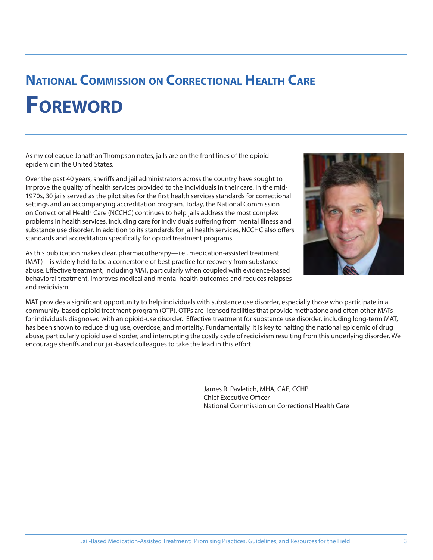## **NATIONAL COMMISSION ON CORRECTIONAL HEALTH CARE FOREWORD**

As my colleague Jonathan Thompson notes, jails are on the front lines of the opioid epidemic in the United States.

Over the past 40 years, sheriffs and jail administrators across the country have sought to improve the quality of health services provided to the individuals in their care. In the mid-1970s, 30 jails served as the pilot sites for the first health services standards for correctional settings and an accompanying accreditation program. Today, the National Commission on Correctional Health Care (NCCHC) continues to help jails address the most complex problems in health services, including care for individuals suffering from mental illness and substance use disorder. In addition to its standards for jail health services, NCCHC also offers standards and accreditation specifically for opioid treatment programs.

As this publication makes clear, pharmacotherapy—i.e., medication-assisted treatment (MAT)—is widely held to be a cornerstone of best practice for recovery from substance abuse. Effective treatment, including MAT, particularly when coupled with evidence-based behavioral treatment, improves medical and mental health outcomes and reduces relapses and recidivism.



MAT provides a significant opportunity to help individuals with substance use disorder, especially those who participate in a community-based opioid treatment program (OTP). OTPs are licensed facilities that provide methadone and often other MATs for individuals diagnosed with an opioid-use disorder. Effective treatment for substance use disorder, including long-term MAT, has been shown to reduce drug use, overdose, and mortality. Fundamentally, it is key to halting the national epidemic of drug abuse, particularly opioid use disorder, and interrupting the costly cycle of recidivism resulting from this underlying disorder. We encourage sheriffs and our jail-based colleagues to take the lead in this effort.

> James R. Pavletich, MHA, CAE, CCHP Chief Executive Officer National Commission on Correctional Health Care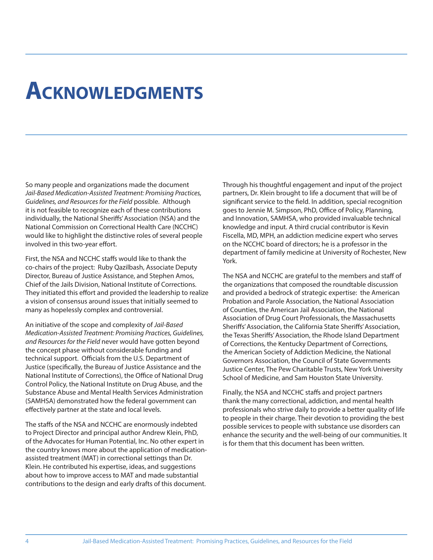## **ACKNOWLEDGMENTS**

So many people and organizations made the document Jail-Based Medication-Assisted Treatment: Promising Practices, Guidelines, and Resources for the Field possible. Although it is not feasible to recognize each of these contributions individually, the National Sheriffs' Association (NSA) and the National Commission on Correctional Health Care (NCCHC) would like to highlight the distinctive roles of several people involved in this two-year effort.

First, the NSA and NCCHC staffs would like to thank the co-chairs of the project: Ruby Qazilbash, Associate Deputy Director, Bureau of Justice Assistance, and Stephen Amos, Chief of the Jails Division, National Institute of Corrections. They initiated this effort and provided the leadership to realize a vision of consensus around issues that initially seemed to many as hopelessly complex and controversial.

An initiative of the scope and complexity of Jail-Based Medication-Assisted Treatment: Promising Practices, Guidelines, and Resources for the Field never would have gotten beyond the concept phase without considerable funding and technical support. Officials from the U.S. Department of Justice (specifically, the Bureau of Justice Assistance and the National Institute of Corrections), the Office of National Drug Control Policy, the National Institute on Drug Abuse, and the Substance Abuse and Mental Health Services Administration (SAMHSA) demonstrated how the federal government can effectively partner at the state and local levels.

The staffs of the NSA and NCCHC are enormously indebted to Project Director and principal author Andrew Klein, PhD, of the Advocates for Human Potential, Inc. No other expert in the country knows more about the application of medicationassisted treatment (MAT) in correctional settings than Dr. Klein. He contributed his expertise, ideas, and suggestions about how to improve access to MAT and made substantial contributions to the design and early drafts of this document.

Through his thoughtful engagement and input of the project partners, Dr. Klein brought to life a document that will be of significant service to the field. In addition, special recognition goes to Jennie M. Simpson, PhD, Office of Policy, Planning, and Innovation, SAMHSA, who provided invaluable technical knowledge and input. A third crucial contributor is Kevin Fiscella, MD, MPH, an addiction medicine expert who serves on the NCCHC board of directors; he is a professor in the department of family medicine at University of Rochester, New York.

The NSA and NCCHC are grateful to the members and staff of the organizations that composed the roundtable discussion and provided a bedrock of strategic expertise: the American Probation and Parole Association, the National Association of Counties, the American Jail Association, the National Association of Drug Court Professionals, the Massachusetts Sheriffs' Association, the California State Sheriffs' Association, the Texas Sheriffs' Association, the Rhode Island Department of Corrections, the Kentucky Department of Corrections, the American Society of Addiction Medicine, the National Governors Association, the Council of State Governments Justice Center, The Pew Charitable Trusts, New York University School of Medicine, and Sam Houston State University.

Finally, the NSA and NCCHC staffs and project partners thank the many correctional, addiction, and mental health professionals who strive daily to provide a better quality of life to people in their charge. Their devotion to providing the best possible services to people with substance use disorders can enhance the security and the well-being of our communities. It is for them that this document has been written.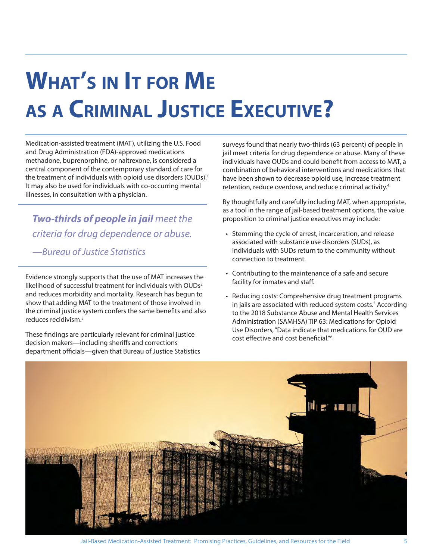# **WHAT'S IN IT FOR ME AS A CRIMINAL JUSTICE EXECUTIVE?**

Medication-assisted treatment (MAT), utilizing the U.S. Food and Drug Administration (FDA)-approved medications methadone, buprenorphine, or naltrexone, is considered a central component of the contemporary standard of care for the treatment of individuals with opioid use disorders (OUDs).<sup>1</sup> It may also be used for individuals with co-occurring mental illnesses, in consultation with a physician.

**Two-thirds of people in jail** meet the criteria for drug dependence or abuse.

—Bureau of Justice Statistics

Evidence strongly supports that the use of MAT increases the likelihood of successful treatment for individuals with OUDs<sup>2</sup> and reduces morbidity and mortality. Research has begun to show that adding MAT to the treatment of those involved in the criminal justice system confers the same benefits and also reduces recidivism.3

These findings are particularly relevant for criminal justice decision makers—including sheriffs and corrections department officials—given that Bureau of Justice Statistics surveys found that nearly two-thirds (63 percent) of people in jail meet criteria for drug dependence or abuse. Many of these individuals have OUDs and could benefit from access to MAT, a combination of behavioral interventions and medications that have been shown to decrease opioid use, increase treatment retention, reduce overdose, and reduce criminal activity.4

By thoughtfully and carefully including MAT, when appropriate, as a tool in the range of jail-based treatment options, the value proposition to criminal justice executives may include:

- Stemming the cycle of arrest, incarceration, and release associated with substance use disorders (SUDs), as individuals with SUDs return to the community without connection to treatment.
- Contributing to the maintenance of a safe and secure facility for inmates and staff.
- Reducing costs: Comprehensive drug treatment programs in jails are associated with reduced system costs.<sup>5</sup> According to the 2018 Substance Abuse and Mental Health Services Administration (SAMHSA) TIP 63: Medications for Opioid Use Disorders, "Data indicate that medications for OUD are cost effective and cost beneficial."<sup>6</sup>

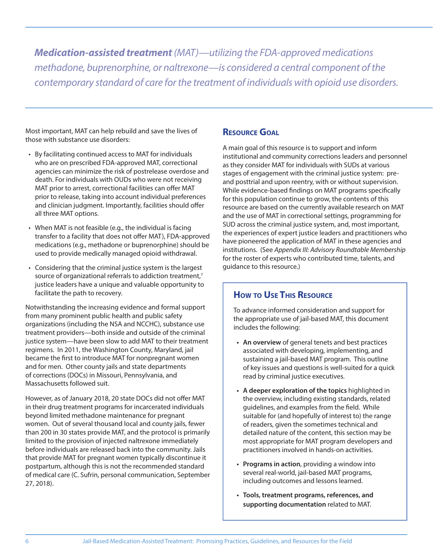**Medication-assisted treatment** (MAT)—utilizing the FDA-approved medications methadone, buprenorphine, or naltrexone—is considered a central component of the contemporary standard of care for the treatment of individuals with opioid use disorders.

Most important, MAT can help rebuild and save the lives of those with substance use disorders:

- By facilitating continued access to MAT for individuals who are on prescribed FDA-approved MAT, correctional agencies can minimize the risk of postrelease overdose and death. For individuals with OUDs who were not receiving MAT prior to arrest, correctional facilities can offer MAT prior to release, taking into account individual preferences and clinician judgment. Importantly, facilities should offer all three MAT options.
- When MAT is not feasible (e.g., the individual is facing transfer to a facility that does not offer MAT), FDA-approved medications (e.g., methadone or buprenorphine) should be used to provide medically managed opioid withdrawal.
- Considering that the criminal justice system is the largest source of organizational referrals to addiction treatment,<sup>7</sup> justice leaders have a unique and valuable opportunity to facilitate the path to recovery.

Notwithstanding the increasing evidence and formal support from many prominent public health and public safety organizations (including the NSA and NCCHC), substance use treatment providers—both inside and outside of the criminal justice system—have been slow to add MAT to their treatment regimens. In 2011, the Washington County, Maryland, jail became the first to introduce MAT for nonpregnant women and for men. Other county jails and state departments of corrections (DOCs) in Missouri, Pennsylvania, and Massachusetts followed suit.

However, as of January 2018, 20 state DOCs did not offer MAT in their drug treatment programs for incarcerated individuals beyond limited methadone maintenance for pregnant women. Out of several thousand local and county jails, fewer than 200 in 30 states provide MAT, and the protocol is primarily limited to the provision of injected naltrexone immediately before individuals are released back into the community. Jails that provide MAT for pregnant women typically discontinue it postpartum, although this is not the recommended standard of medical care (C. Sufrin, personal communication, September 27, 2018).

#### **RESOURCE GOAL**

A main goal of this resource is to support and inform institutional and community corrections leaders and personnel as they consider MAT for individuals with SUDs at various stages of engagement with the criminal justice system: preand posttrial and upon reentry, with or without supervision. While evidence-based findings on MAT programs specifically for this population continue to grow, the contents of this resource are based on the currently available research on MAT and the use of MAT in correctional settings, programming for SUD across the criminal justice system, and, most important, the experiences of expert justice leaders and practitioners who have pioneered the application of MAT in these agencies and institutions. (See Appendix III: Advisory Roundtable Membership for the roster of experts who contributed time, talents, and guidance to this resource.)

#### **HOW TO USE THIS RESOURCE**

To advance informed consideration and support for the appropriate use of jail-based MAT, this document includes the following:

- **An overview** of general tenets and best practices associated with developing, implementing, and sustaining a jail-based MAT program. This outline of key issues and questions is well-suited for a quick read by criminal justice executives.
- **A deeper exploration of the topics** highlighted in the overview, including existing standards, related guidelines, and examples from the field. While suitable for (and hopefully of interest to) the range of readers, given the sometimes technical and detailed nature of the content, this section may be most appropriate for MAT program developers and practitioners involved in hands-on activities.
- **Programs in action**, providing a window into several real-world, jail-based MAT programs, including outcomes and lessons learned.
- **Tools, treatment programs, references, and supporting documentation** related to MAT.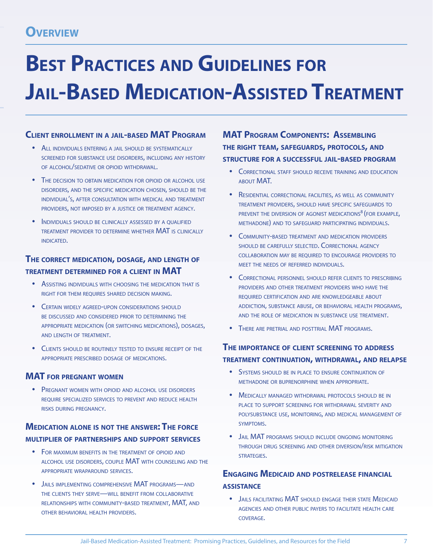# **BEST PRACTICES AND GUIDELINES FOR JAIL-BASED MEDICATION-ASSISTED TREATMENT**

#### **CLIENT ENROLLMENT IN A JAIL-BASED MAT PROGRAM**

- ALL INDIVIDUALS ENTERING A JAIL SHOULD BE SYSTEMATICALLY SCREENED FOR SUBSTANCE USE DISORDERS, INCLUDING ANY HISTORY OF ALCOHOL/SEDATIVE OR OPIOID WITHDRAWAL.
- THE DECISION TO OBTAIN MEDICATION FOR OPIOID OR ALCOHOL USE DISORDERS, AND THE SPECIFIC MEDICATION CHOSEN, SHOULD BE THE INDIVIDUAL'S, AFTER CONSULTATION WITH MEDICAL AND TREATMENT PROVIDERS, NOT IMPOSED BY A JUSTICE OR TREATMENT AGENCY.
- **INDIVIDUALS SHOULD BE CLINICALLY ASSESSED BY A OUALIFIED** TREATMENT PROVIDER TO DETERMINE WHETHER MAT IS CLINICALLY INDICATED.

#### **THE CORRECT MEDICATION, DOSAGE, AND LENGTH OF TREATMENT DETERMINED FOR <sup>A</sup> CLIENT IN MAT**

- ASSISTING INDIVIDUALS WITH CHOOSING THE MEDICATION THAT IS RIGHT FOR THEM REQUIRES SHARED DECISION MAKING.
- CERTAIN WIDELY AGREED-UPON CONSIDERATIONS SHOULD BE DISCUSSED AND CONSIDERED PRIOR TO DETERMINING THE APPROPRIATE MEDICATION (OR SWITCHING MEDICATIONS), DOSAGES, AND LENGTH OF TREATMENT.
- CLIENTS SHOULD BE ROUTINELY TESTED TO ENSURE RECEIPT OF THE APPROPRIATE PRESCRIBED DOSAGE OF MEDICATIONS.

#### **MAT FOR PREGNANT WOMEN**

PREGNANT WOMEN WITH OPIOID AND ALCOHOL USE DISORDERS REQUIRE SPECIALIZED SERVICES TO PREVENT AND REDUCE HEALTH RISKS DURING PREGNANCY.

#### **MEDICATION ALONE IS NOT THE ANSWER: THE FORCE MULTIPLIER OF PARTNERSHIPS AND SUPPORT SERVICES**

- FOR MAXIMUM BENEFITS IN THE TREATMENT OF OPIOID AND ALCOHOL USE DISORDERS, COUPLE MAT WITH COUNSELING AND THE APPROPRIATE WRAPAROUND SERVICES.
- JAILS IMPLEMENTING COMPREHENSIVE MAT PROGRAMS-AND THE CLIENTS THEY SERVE—WILL BENEFIT FROM COLLABORATIVE RELATIONSHIPS WITH COMMUNITY-BASED TREATMENT, MAT, AND OTHER BEHAVIORAL HEALTH PROVIDERS.

**MAT PROGRAM COMPONENTS: ASSEMBLING THE RIGHT TEAM, SAFEGUARDS, PROTOCOLS, AND STRUCTURE FOR A SUCCESSFUL JAIL-BASED PROGRAM**

- CORRECTIONAL STAFF SHOULD RECEIVE TRAINING AND EDUCATION ABOUT MAT.
- **RESIDENTIAL CORRECTIONAL FACILITIES, AS WELL AS COMMUNITY** TREATMENT PROVIDERS, SHOULD HAVE SPECIFIC SAFEGUARDS TO PREVENT THE DIVERSION OF AGONIST MEDICATIONS<sup>8</sup> (FOR EXAMPLE, METHADONE) AND TO SAFEGUARD PARTICIPATING INDIVIDUALS.
- COMMUNITY-BASED TREATMENT AND MEDICATION PROVIDERS SHOULD BE CAREFULLY SELECTED. CORRECTIONAL AGENCY COLLABORATION MAY BE REQUIRED TO ENCOURAGE PROVIDERS TO MEET THE NEEDS OF REFERRED INDIVIDUALS.
- CORRECTIONAL PERSONNEL SHOULD REFER CLIENTS TO PRESCRIBING PROVIDERS AND OTHER TREATMENT PROVIDERS WHO HAVE THE REQUIRED CERTIFICATION AND ARE KNOWLEDGEABLE ABOUT ADDICTION, SUBSTANCE ABUSE, OR BEHAVIORAL HEALTH PROGRAMS, AND THE ROLE OF MEDICATION IN SUBSTANCE USE TREATMENT.
- THERE ARE PRETRIAL AND POSTTRIAL MAT PROGRAMS.

#### **THE IMPORTANCE OF CLIENT SCREENING TO ADDRESS TREATMENT CONTINUATION, WITHDRAWAL, AND RELAPSE**

- SYSTEMS SHOULD BE IN PLACE TO ENSURE CONTINUATION OF METHADONE OR BUPRENORPHINE WHEN APPROPRIATE.
- MEDICALLY MANAGED WITHDRAWAL PROTOCOLS SHOULD BE IN PLACE TO SUPPORT SCREENING FOR WITHDRAWAL SEVERITY AND POLYSUBSTANCE USE, MONITORING, AND MEDICAL MANAGEMENT OF SYMPTOMS.
- **JAIL MAT PROGRAMS SHOULD INCLUDE ONGOING MONITORING** THROUGH DRUG SCREENING AND OTHER DIVERSION/RISK MITIGATION STRATEGIES.

#### **ENGAGING MEDICAID AND POSTRELEASE FINANCIAL ASSISTANCE**

**• JAILS FACILITATING MAT SHOULD ENGAGE THEIR STATE MEDICAID** AGENCIES AND OTHER PUBLIC PAYERS TO FACILITATE HEALTH CARE COVERAGE.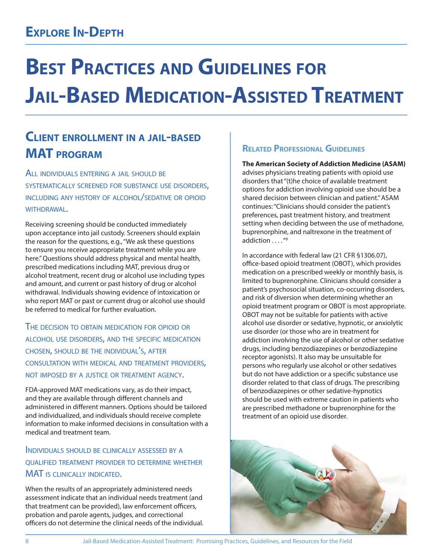# **BEST PRACTICES AND GUIDELINES FOR JAIL-BASED MEDICATION-ASSISTED TREATMENT**

### **CLIENT ENROLLMENT IN <sup>A</sup> JAIL-BASED MAT PROGRAM**

ALL INDIVIDUALS ENTERING <sup>A</sup> JAIL SHOULD BE SYSTEMATICALLY SCREENED FOR SUBSTANCE USE DISORDERS, INCLUDING ANY HISTORY OF ALCOHOL/SEDATIVE OR OPIOID WITHDRAWAL.

Receiving screening should be conducted immediately upon acceptance into jail custody. Screeners should explain the reason for the questions, e.g., "We ask these questions to ensure you receive appropriate treatment while you are here." Questions should address physical and mental health, prescribed medications including MAT, previous drug or alcohol treatment, recent drug or alcohol use including types and amount, and current or past history of drug or alcohol withdrawal. Individuals showing evidence of intoxication or who report MAT or past or current drug or alcohol use should be referred to medical for further evaluation.

THE DECISION TO OBTAIN MEDICATION FOR OPIOID OR ALCOHOL USE DISORDERS, AND THE SPECIFIC MEDICATION CHOSEN, SHOULD BE THE INDIVIDUAL'S, AFTER CONSULTATION WITH MEDICAL AND TREATMENT PROVIDERS, NOT IMPOSED BY <sup>A</sup> JUSTICE OR TREATMENT AGENCY.

FDA-approved MAT medications vary, as do their impact, and they are available through different channels and administered in different manners. Options should be tailored and individualized, and individuals should receive complete information to make informed decisions in consultation with a medical and treatment team.

#### INDIVIDUALS SHOULD BE CLINICALLY ASSESSED BY <sup>A</sup> QUALIFIED TREATMENT PROVIDER TO DETERMINE WHETHER MAT IS CLINICALLY INDICATED.

When the results of an appropriately administered needs assessment indicate that an individual needs treatment (and that treatment can be provided), law enforcement officers, probation and parole agents, judges, and correctional officers do not determine the clinical needs of the individual.

#### **RELATED PROFESSIONAL GUIDELINES**

**The American Society of Addiction Medicine (ASAM)**  advises physicians treating patients with opioid use disorders that "(t)he choice of available treatment options for addiction involving opioid use should be a shared decision between clinician and patient." ASAM continues: "Clinicians should consider the patient's preferences, past treatment history, and treatment setting when deciding between the use of methadone, buprenorphine, and naltrexone in the treatment of addiction ...."<sup>9</sup>

In accordance with federal law (21 CFR §1306.07), office-based opioid treatment (OBOT), which provides medication on a prescribed weekly or monthly basis, is limited to buprenorphine. Clinicians should consider a patient's psychosocial situation, co-occurring disorders, and risk of diversion when determining whether an opioid treatment program or OBOT is most appropriate. OBOT may not be suitable for patients with active alcohol use disorder or sedative, hypnotic, or anxiolytic use disorder (or those who are in treatment for addiction involving the use of alcohol or other sedative drugs, including benzodiazepines or benzodiazepine receptor agonists). It also may be unsuitable for persons who regularly use alcohol or other sedatives but do not have addiction or a specific substance use disorder related to that class of drugs. The prescribing of benzodiazepines or other sedative-hypnotics should be used with extreme caution in patients who are prescribed methadone or buprenorphine for the treatment of an opioid use disorder.

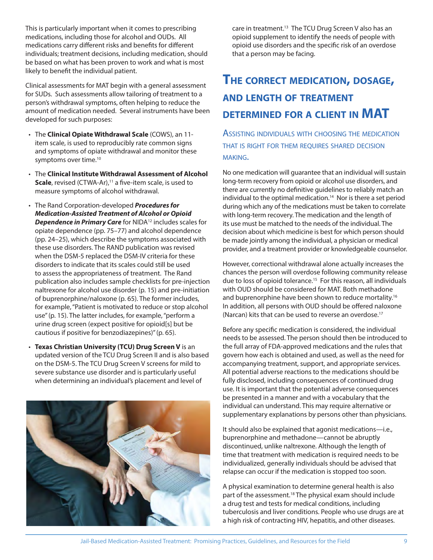This is particularly important when it comes to prescribing medications, including those for alcohol and OUDs. All medications carry different risks and benefits for different individuals; treatment decisions, including medication, should be based on what has been proven to work and what is most likely to benefit the individual patient.

Clinical assessments for MAT begin with a general assessment for SUDs. Such assessments allow tailoring of treatment to a person's withdrawal symptoms, often helping to reduce the amount of medication needed. Several instruments have been developed for such purposes:

- The **Clinical Opiate Withdrawal Scale** (COWS), an 11 item scale, is used to reproducibly rate common signs and symptoms of opiate withdrawal and monitor these symptoms over time.<sup>10</sup>
- The **Clinical Institute Withdrawal Assessment of Alcohol Scale**, revised (CTWA-Ar),<sup>11</sup> a five-item scale, is used to measure symptoms of alcohol withdrawal.
- The Rand Corporation-developed **Procedures for Medication-Assisted Treatment of Alcohol or Opioid Dependence in Primary Care** for NIDA<sup>12</sup> includes scales for opiate dependence (pp. 75–77) and alcohol dependence (pp. 24–25), which describe the symptoms associated with these use disorders. The RAND publication was revised when the DSM-5 replaced the DSM-IV criteria for these disorders to indicate that its scales could still be used to assess the appropriateness of treatment. The Rand publication also includes sample checklists for pre-injection naltrexone for alcohol use disorder (p. 15) and pre-initiation of buprenorphine/naloxone (p. 65). The former includes, for example, "Patient is motivated to reduce or stop alcohol use" (p. 15). The latter includes, for example, "perform a urine drug screen (expect positive for opioid[s] but be cautious if positive for benzodiazepines)" (p. 65).
- **Texas Christian University (TCU) Drug Screen V** is an updated version of the TCU Drug Screen II and is also based on the DSM-5. The TCU Drug Screen V screens for mild to severe substance use disorder and is particularly useful when determining an individual's placement and level of



care in treatment.<sup>13</sup> The TCU Drug Screen V also has an opioid supplement to identify the needs of people with opioid use disorders and the specific risk of an overdose that a person may be facing.

### **THE CORRECT MEDICATION, DOSAGE, AND LENGTH OF TREATMENT DETERMINED FOR <sup>A</sup> CLIENT IN MAT**

ASSISTING INDIVIDUALS WITH CHOOSING THE MEDICATION THAT IS RIGHT FOR THEM REQUIRES SHARED DECISION MAKING.

No one medication will guarantee that an individual will sustain long-term recovery from opioid or alcohol use disorders, and there are currently no definitive guidelines to reliably match an individual to the optimal medication.<sup>14</sup> Nor is there a set period during which any of the medications must be taken to correlate with long-term recovery. The medication and the length of its use must be matched to the needs of the individual. The decision about which medicine is best for which person should be made jointly among the individual, a physician or medical provider, and a treatment provider or knowledgeable counselor.

However, correctional withdrawal alone actually increases the chances the person will overdose following community release due to loss of opioid tolerance.<sup>15</sup> For this reason, all individuals with OUD should be considered for MAT. Both methadone and buprenorphine have been shown to reduce mortality.<sup>16</sup> In addition, all persons with OUD should be offered naloxone (Narcan) kits that can be used to reverse an overdose.<sup>17</sup>

Before any specific medication is considered, the individual needs to be assessed. The person should then be introduced to the full array of FDA-approved medications and the rules that govern how each is obtained and used, as well as the need for accompanying treatment, support, and appropriate services. All potential adverse reactions to the medications should be fully disclosed, including consequences of continued drug use. It is important that the potential adverse consequences be presented in a manner and with a vocabulary that the individual can understand. This may require alternative or supplementary explanations by persons other than physicians.

It should also be explained that agonist medications—i.e., buprenorphine and methadone—cannot be abruptly discontinued, unlike naltrexone. Although the length of time that treatment with medication is required needs to be individualized, generally individuals should be advised that relapse can occur if the medication is stopped too soon.

A physical examination to determine general health is also part of the assessment.<sup>18</sup> The physical exam should include a drug test and tests for medical conditions, including tuberculosis and liver conditions. People who use drugs are at a high risk of contracting HIV, hepatitis, and other diseases.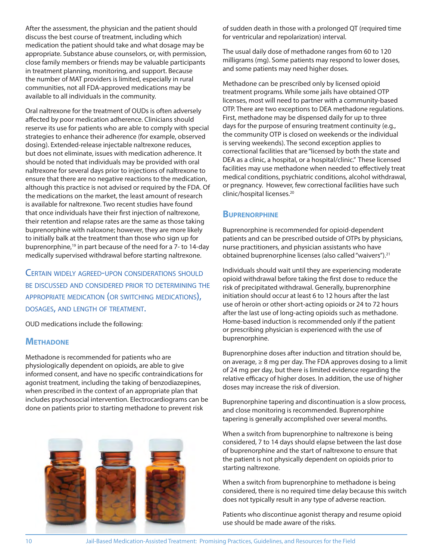After the assessment, the physician and the patient should discuss the best course of treatment, including which medication the patient should take and what dosage may be appropriate. Substance abuse counselors, or, with permission, close family members or friends may be valuable participants in treatment planning, monitoring, and support. Because the number of MAT providers is limited, especially in rural communities, not all FDA-approved medications may be available to all individuals in the community.

Oral naltrexone for the treatment of OUDs is often adversely affected by poor medication adherence. Clinicians should reserve its use for patients who are able to comply with special strategies to enhance their adherence (for example, observed dosing). Extended-release injectable naltrexone reduces, but does not eliminate, issues with medication adherence. It should be noted that individuals may be provided with oral naltrexone for several days prior to injections of naltrexone to ensure that there are no negative reactions to the medication, although this practice is not advised or required by the FDA. Of the medications on the market, the least amount of research is available for naltrexone. Two recent studies have found that once individuals have their first injection of naltrexone, their retention and relapse rates are the same as those taking buprenorphine with naloxone; however, they are more likely to initially balk at the treatment than those who sign up for buprenorphine,<sup>19</sup> in part because of the need for a 7- to 14-day medically supervised withdrawal before starting naltrexone.

CERTAIN WIDELY AGREED-UPON CONSIDERATIONS SHOULD BE DISCUSSED AND CONSIDERED PRIOR TO DETERMINING THE APPROPRIATE MEDICATION (OR SWITCHING MEDICATIONS), DOSAGES, AND LENGTH OF TREATMENT.

OUD medications include the following:

#### **METHADONE**

Methadone is recommended for patients who are physiologically dependent on opioids, are able to give informed consent, and have no specific contraindications for agonist treatment, including the taking of benzodiazepines, when prescribed in the context of an appropriate plan that includes psychosocial intervention. Electrocardiograms can be done on patients prior to starting methadone to prevent risk



of sudden death in those with a prolonged QT (required time for ventricular and repolarization) interval.

The usual daily dose of methadone ranges from 60 to 120 milligrams (mg). Some patients may respond to lower doses, and some patients may need higher doses.

Methadone can be prescribed only by licensed opioid treatment programs. While some jails have obtained OTP licenses, most will need to partner with a community-based OTP. There are two exceptions to DEA methadone regulations. First, methadone may be dispensed daily for up to three days for the purpose of ensuring treatment continuity (e.g., the community OTP is closed on weekends or the individual is serving weekends). The second exception applies to correctional facilities that are "licensed by both the state and DEA as a clinic, a hospital, or a hospital/clinic." These licensed facilities may use methadone when needed to effectively treat medical conditions, psychiatric conditions, alcohol withdrawal, or pregnancy. However, few correctional facilities have such clinic/hospital licenses.20

#### **BUPRENORPHINE**

Buprenorphine is recommended for opioid-dependent patients and can be prescribed outside of OTPs by physicians, nurse practitioners, and physician assistants who have obtained buprenorphine licenses (also called "waivers").21

Individuals should wait until they are experiencing moderate opioid withdrawal before taking the first dose to reduce the risk of precipitated withdrawal. Generally, buprenorphine initiation should occur at least 6 to 12 hours after the last use of heroin or other short-acting opioids or 24 to 72 hours after the last use of long-acting opioids such as methadone. Home-based induction is recommended only if the patient or prescribing physician is experienced with the use of buprenorphine.

Buprenorphine doses after induction and titration should be, on average, ≥ 8 mg per day. The FDA approves dosing to a limit of 24 mg per day, but there is limited evidence regarding the relative efficacy of higher doses. In addition, the use of higher doses may increase the risk of diversion.

Buprenorphine tapering and discontinuation is a slow process, and close monitoring is recommended. Buprenorphine tapering is generally accomplished over several months.

When a switch from buprenorphine to naltrexone is being considered, 7 to 14 days should elapse between the last dose of buprenorphine and the start of naltrexone to ensure that the patient is not physically dependent on opioids prior to starting naltrexone.

When a switch from buprenorphine to methadone is being considered, there is no required time delay because this switch does not typically result in any type of adverse reaction.

Patients who discontinue agonist therapy and resume opioid use should be made aware of the risks.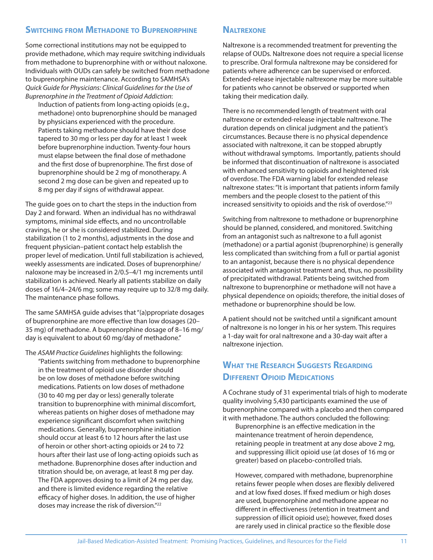#### **SWITCHING FROM METHADONE TO BUPRENORPHINE**

Some correctional institutions may not be equipped to provide methadone, which may require switching individuals from methadone to buprenorphine with or without naloxone. Individuals with OUDs can safely be switched from methadone to buprenorphine maintenance. According to SAMHSA's Quick Guide for Physicians: Clinical Guidelines for the Use of Buprenorphine in the Treatment of Opioid Addiction:

Induction of patients from long-acting opioids (e.g., methadone) onto buprenorphine should be managed by physicians experienced with the procedure. Patients taking methadone should have their dose tapered to 30 mg or less per day for at least 1 week before buprenorphine induction. Twenty-four hours must elapse between the final dose of methadone and the first dose of buprenorphine. The first dose of buprenorphine should be 2 mg of monotherapy. A second 2 mg dose can be given and repeated up to 8 mg per day if signs of withdrawal appear.

The guide goes on to chart the steps in the induction from Day 2 and forward. When an individual has no withdrawal symptoms, minimal side effects, and no uncontrollable cravings, he or she is considered stabilized. During stabilization (1 to 2 months), adjustments in the dose and frequent physician–patient contact help establish the proper level of medication. Until full stabilization is achieved, weekly assessments are indicated. Doses of buprenorphine/ naloxone may be increased in 2/0.5–4/1 mg increments until stabilization is achieved. Nearly all patients stabilize on daily doses of 16/4–24/6 mg; some may require up to 32/8 mg daily. The maintenance phase follows.

The same SAMHSA guide advises that "(a)ppropriate dosages of buprenorphine are more effective than low dosages (20– 35 mg) of methadone. A buprenorphine dosage of 8–16 mg/ day is equivalent to about 60 mg/day of methadone."

The ASAM Practice Guidelines highlights the following: "Patients switching from methadone to buprenorphine in the treatment of opioid use disorder should be on low doses of methadone before switching medications. Patients on low doses of methadone (30 to 40 mg per day or less) generally tolerate transition to buprenorphine with minimal discomfort, whereas patients on higher doses of methadone may experience significant discomfort when switching medications. Generally, buprenorphine initiation should occur at least 6 to 12 hours after the last use of heroin or other short-acting opioids or 24 to 72 hours after their last use of long-acting opioids such as methadone. Buprenorphine doses after induction and titration should be, on average, at least 8 mg per day. The FDA approves dosing to a limit of 24 mg per day, and there is limited evidence regarding the relative efficacy of higher doses. In addition, the use of higher doses may increase the risk of diversion."22

#### **NALTREXONE**

Naltrexone is a recommended treatment for preventing the relapse of OUDs. Naltrexone does not require a special license to prescribe. Oral formula naltrexone may be considered for patients where adherence can be supervised or enforced. Extended-release injectable naltrexone may be more suitable for patients who cannot be observed or supported when taking their medication daily.

There is no recommended length of treatment with oral naltrexone or extended-release injectable naltrexone. The duration depends on clinical judgment and the patient's circumstances. Because there is no physical dependence associated with naltrexone, it can be stopped abruptly without withdrawal symptoms. Importantly, patients should be informed that discontinuation of naltrexone is associated with enhanced sensitivity to opioids and heightened risk of overdose. The FDA warning label for extended release naltrexone states: "It is important that patients inform family members and the people closest to the patient of this increased sensitivity to opioids and the risk of overdose."<sup>23</sup>

Switching from naltrexone to methadone or buprenorphine should be planned, considered, and monitored. Switching from an antagonist such as naltrexone to a full agonist (methadone) or a partial agonist (buprenorphine) is generally less complicated than switching from a full or partial agonist to an antagonist, because there is no physical dependence associated with antagonist treatment and, thus, no possibility of precipitated withdrawal. Patients being switched from naltrexone to buprenorphine or methadone will not have a physical dependence on opioids; therefore, the initial doses of methadone or buprenorphine should be low.

A patient should not be switched until a significant amount of naltrexone is no longer in his or her system. This requires a 1-day wait for oral naltrexone and a 30-day wait after a naltrexone injection.

#### **WHAT THE RESEARCH SUGGESTS REGARDING DIFFERENT OPIOID MEDICATIONS**

A Cochrane study of 31 experimental trials of high to moderate quality involving 5,430 participants examined the use of buprenorphine compared with a placebo and then compared it with methadone. The authors concluded the following:

Buprenorphine is an effective medication in the maintenance treatment of heroin dependence, retaining people in treatment at any dose above 2 mg, and suppressing illicit opioid use (at doses of 16 mg or greater) based on placebo-controlled trials.

However, compared with methadone, buprenorphine retains fewer people when doses are flexibly delivered and at low fixed doses. If fixed medium or high doses are used, buprenorphine and methadone appear no different in effectiveness (retention in treatment and suppression of illicit opioid use); however, fixed doses are rarely used in clinical practice so the flexible dose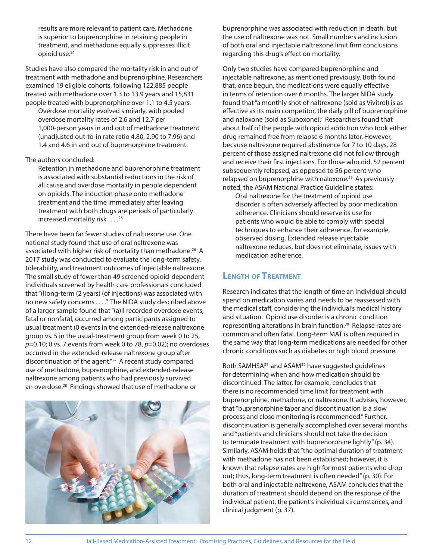results are more relevant to patient care. Methadone is superior to buprenorphine in retaining people in treatment, and methadone equally suppresses illicit opioid use.24

Studies have also compared the mortality risk in and out of treatment with methadone and buprenorphine. Researchers examined 19 eligible cohorts, following 122,885 people treated with methadone over 1.3 to 13.9 years and 15,831 people treated with buprenorphine over 1.1 to 4.5 years. Overdose mortality evolved similarly, with pooled

overdose mortality rates of 2.6 and 12.7 per 1,000-person years in and out of methadone treatment (unadjusted out-to-in rate ratio 4.80, 2.90 to 7.96) and 1.4 and 4.6 in and out of buprenorphine treatment.

The authors concluded:

Retention in methadone and buprenorphine treatment is associated with substantial reductions in the risk of all cause and overdose mortality in people dependent on opioids. The induction phase onto methadone treatment and the time immediately after leaving treatment with both drugs are periods of particularly increased mortality risk . . . . <sup>25</sup>

There have been far fewer studies of naltrexone use. One national study found that use of oral naltrexone was associated with higher risk of mortality than methadone.<sup>26</sup> A 2017 study was conducted to evaluate the long-term safety, tolerability, and treatment outcomes of injectable naltrexone. The small study of fewer than 49 screened opioid-dependent individuals screened by health care professionals concluded that "(l)ong-term (2 years) (of injections) was associated with no new safety concerns . . . ." The NIDA study described above of a larger sample found that "(a)ll recorded overdose events, fatal or nonfatal, occurred among participants assigned to usual treatment (0 events in the extended-release naltrexone group vs. 5 in the usual-treatment group from week 0 to 25,  $p=0.10$ ; 0 vs. 7 events from week 0 to 78,  $p=0.02$ ); no overdoses occurred in the extended-release naltrexone group after discontinuation of the agent."27 A recent study compared use of methadone, buprenorphine, and extended-release naltrexone among patients who had previously survived an overdose.28 Findings showed that use of methadone or



buprenorphine was associated with reduction in death, but the use of naltrexone was not. Small numbers and inclusion of both oral and injectable naltrexone limit firm conclusions regarding this drug's effect on mortality.

Only two studies have compared buprenorphine and injectable naltrexone, as mentioned previously. Both found that, once begun, the medications were equally effective in terms of retention over 6 months. The larger NIDA study found that "a monthly shot of naltrexone (sold as Vivitrol) is as effective as its main competitor, the daily pill of buprenorphine and naloxone (sold as Suboxone)." Researchers found that about half of the people with opioid addiction who took either drug remained free from relapse 6 months later. However, because naltrexone required abstinence for 7 to 10 days, 28 percent of those assigned naltrexone did not follow through and receive their first injections. For those who did, 52 percent subsequently relapsed, as opposed to 56 percent who relapsed on buprenorphine with naloxone.<sup>29</sup> As previously noted, the ASAM National Practice Guideline states:

Oral naltrexone for the treatment of opioid use disorder is often adversely affected by poor medication adherence. Clinicians should reserve its use for patients who would be able to comply with special techniques to enhance their adherence, for example, observed dosing. Extended release injectable naltrexone reduces, but does not eliminate, issues with medication adherence.

#### **LENGTH OF TREATMENT**

Research indicates that the length of time an individual should spend on medication varies and needs to be reassessed with the medical staff, considering the individual's medical history and situation. Opioid use disorder is a chronic condition representing alterations in brain function.<sup>30</sup> Relapse rates are common and often fatal. Long-term MAT is often required in the same way that long-term medications are needed for other chronic conditions such as diabetes or high blood pressure.

Both SAMHSA<sup>31</sup> and ASAM<sup>32</sup> have suggested guidelines for determining when and how medication should be discontinued. The latter, for example, concludes that there is no recommended time limit for treatment with buprenorphine, methadone, or naltrexone. It advises, however, that "buprenorphine taper and discontinuation is a slow process and close monitoring is recommended." Further, discontinuation is generally accomplished over several months and "patients and clinicians should not take the decision to terminate treatment with buprenorphine lightly" (p. 34). Similarly, ASAM holds that "the optimal duration of treatment with methadone has not been established; however, it is known that relapse rates are high for most patients who drop out; thus, long-term treatment is often needed" (p. 30). For both oral and injectable naltrexone, ASAM concludes that the duration of treatment should depend on the response of the individual patient, the patient's individual circumstances, and clinical judgment (p. 37).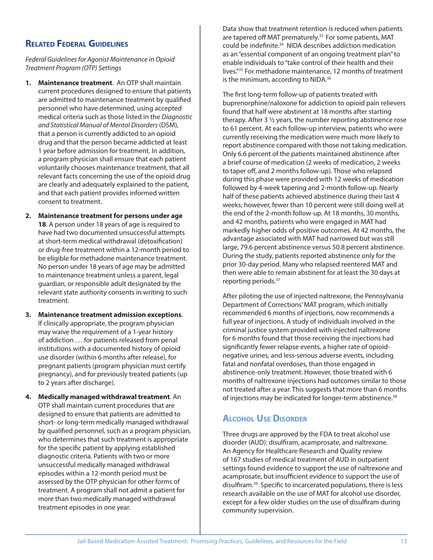#### **RELATED FEDERAL GUIDELINES**

#### Federal Guidelines for Agonist Maintenance in Opioid Treatment Program (OTP) Settings

- **1. Maintenance treatment**. An OTP shall maintain current procedures designed to ensure that patients are admitted to maintenance treatment by qualified personnel who have determined, using accepted medical criteria such as those listed in the Diagnostic and Statistical Manual of Mental Disorders (DSM), that a person is currently addicted to an opioid drug and that the person became addicted at least 1 year before admission for treatment. In addition, a program physician shall ensure that each patient voluntarily chooses maintenance treatment, that all relevant facts concerning the use of the opioid drug are clearly and adequately explained to the patient, and that each patient provides informed written consent to treatment.
- **2. Maintenance treatment for persons under age 18**. A person under 18 years of age is required to have had two documented unsuccessful attempts at short-term medical withdrawal (detoxification) or drug-free treatment within a 12-month period to be eligible for methadone maintenance treatment. No person under 18 years of age may be admitted to maintenance treatment unless a parent, legal guardian, or responsible adult designated by the relevant state authority consents in writing to such treatment.
- **3. Maintenance treatment admission exceptions**. If clinically appropriate, the program physician may waive the requirement of a 1-year history of addiction . . . for patients released from penal institutions with a documented history of opioid use disorder (within 6 months after release), for pregnant patients (program physician must certify pregnancy), and for previously treated patients (up to 2 years after discharge).
- **4. Medically managed withdrawal treatment**. An OTP shall maintain current procedures that are designed to ensure that patients are admitted to short- or long-term medically managed withdrawal by qualified personnel, such as a program physician, who determines that such treatment is appropriate for the specific patient by applying established diagnostic criteria. Patients with two or more unsuccessful medically managed withdrawal episodes within a 12-month period must be assessed by the OTP physician for other forms of treatment. A program shall not admit a patient for more than two medically managed withdrawal treatment episodes in one year.

Data show that treatment retention is reduced when patients are tapered off MAT prematurely.<sup>33</sup> For some patients, MAT could be indefinite.<sup>34</sup> NIDA describes addiction medication as an "essential component of an ongoing treatment plan" to enable individuals to "take control of their health and their lives."35 For methadone maintenance, 12 months of treatment is the minimum, according to NIDA.<sup>36</sup>

The first long-term follow-up of patients treated with buprenorphine/naloxone for addiction to opioid pain relievers found that half were abstinent at 18 months after starting therapy. After 3 ½ years, the number reporting abstinence rose to 61 percent. At each follow-up interview, patients who were currently receiving the medication were much more likely to report abstinence compared with those not taking medication. Only 6.6 percent of the patients maintained abstinence after a brief course of medication (2 weeks of medication, 2 weeks to taper off, and 2 months follow-up). Those who relapsed during this phase were provided with 12 weeks of medication followed by 4-week tapering and 2-month follow-up. Nearly half of these patients achieved abstinence during their last 4 weeks; however, fewer than 10 percent were still doing well at the end of the 2-month follow-up. At 18 months, 30 months, and 42 months, patients who were engaged in MAT had markedly higher odds of positive outcomes. At 42 months, the advantage associated with MAT had narrowed but was still large, 79.6 percent abstinence versus 50.8 percent abstinence. During the study, patients reported abstinence only for the prior 30-day period. Many who relapsed reentered MAT and then were able to remain abstinent for at least the 30 days at reporting periods.37

After piloting the use of injected naltrexone, the Pennsylvania Department of Corrections' MAT program, which initially recommended 6 months of injections, now recommends a full year of injections. A study of individuals involved in the criminal justice system provided with injected naltrexone for 6 months found that those receiving the injections had significantly fewer relapse events, a higher rate of opioidnegative urines, and less-serious adverse events, including fatal and nonfatal overdoses, than those engaged in abstinence-only treatment. However, those treated with 6 months of naltrexone injections had outcomes similar to those not treated after a year. This suggests that more than 6 months of injections may be indicated for longer-term abstinence.<sup>38</sup>

#### **ALCOHOL USE DISORDER**

Three drugs are approved by the FDA to treat alcohol use disorder (AUD): disulfiram, acamprosate, and naltrexone. An Agency for Healthcare Research and Quality review of 167 studies of medical treatment of AUD in outpatient settings found evidence to support the use of naltrexone and acamprosate, but insufficient evidence to support the use of disulfiram.<sup>39</sup> Specific to incarcerated populations, there is less research available on the use of MAT for alcohol use disorder, except for a few older studies on the use of disulfiram during community supervision.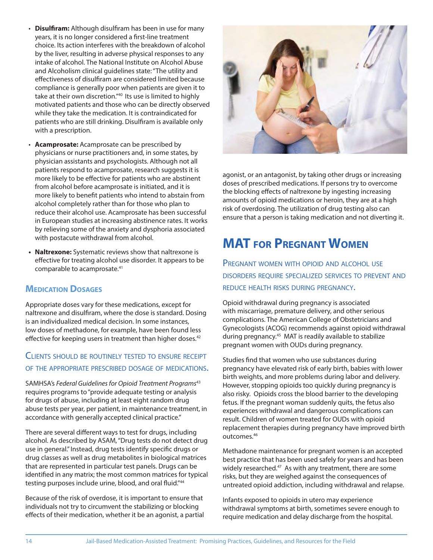- **Disulfiram:** Although disulfiram has been in use for many years, it is no longer considered a first-line treatment choice. Its action interferes with the breakdown of alcohol by the liver, resulting in adverse physical responses to any intake of alcohol. The National Institute on Alcohol Abuse and Alcoholism clinical guidelines state: "The utility and effectiveness of disulfiram are considered limited because compliance is generally poor when patients are given it to take at their own discretion."40 Its use is limited to highly motivated patients and those who can be directly observed while they take the medication. It is contraindicated for patients who are still drinking. Disulfiram is available only with a prescription.
- **Acamprosate:** Acamprosate can be prescribed by physicians or nurse practitioners and, in some states, by physician assistants and psychologists. Although not all patients respond to acamprosate, research suggests it is more likely to be effective for patients who are abstinent from alcohol before acamprosate is initiated, and it is more likely to benefit patients who intend to abstain from alcohol completely rather than for those who plan to reduce their alcohol use. Acamprosate has been successful in European studies at increasing abstinence rates. It works by relieving some of the anxiety and dysphoria associated with postacute withdrawal from alcohol.
- **Naltrexone:** Systematic reviews show that naltrexone is effective for treating alcohol use disorder. It appears to be comparable to acamprosate.<sup>41</sup>

#### **MEDICATION DOSAGES**

Appropriate doses vary for these medications, except for naltrexone and disulfiram, where the dose is standard. Dosing is an individualized medical decision. In some instances, low doses of methadone, for example, have been found less effective for keeping users in treatment than higher doses.<sup>42</sup>

#### CLIENTS SHOULD BE ROUTINELY TESTED TO ENSURE RECEIPT OF THE APPROPRIATE PRESCRIBED DOSAGE OF MEDICATIONS.

SAMHSA's Federal Guidelines for Opioid Treatment Programs<sup>43</sup> requires programs to "provide adequate testing or analysis for drugs of abuse, including at least eight random drug abuse tests per year, per patient, in maintenance treatment, in accordance with generally accepted clinical practice."

There are several different ways to test for drugs, including alcohol. As described by ASAM, "Drug tests do not detect drug use in general." Instead, drug tests identify specific drugs or drug classes as well as drug metabolites in biological matrices that are represented in particular test panels. Drugs can be identified in any matrix; the most common matrices for typical testing purposes include urine, blood, and oral fluid."<sup>44</sup>

Because of the risk of overdose, it is important to ensure that individuals not try to circumvent the stabilizing or blocking effects of their medication, whether it be an agonist, a partial



agonist, or an antagonist, by taking other drugs or increasing doses of prescribed medications. If persons try to overcome the blocking effects of naltrexone by ingesting increasing amounts of opioid medications or heroin, they are at a high risk of overdosing. The utilization of drug testing also can ensure that a person is taking medication and not diverting it.

### **MAT FOR PREGNANT WOMEN**

PREGNANT WOMEN WITH OPIOID AND ALCOHOL USE DISORDERS REQUIRE SPECIALIZED SERVICES TO PREVENT AND REDUCE HEALTH RISKS DURING PREGNANCY.

Opioid withdrawal during pregnancy is associated with miscarriage, premature delivery, and other serious complications. The American College of Obstetricians and Gynecologists (ACOG) recommends against opioid withdrawal during pregnancy.45 MAT is readily available to stabilize pregnant women with OUDs during pregnancy.

Studies find that women who use substances during pregnancy have elevated risk of early birth, babies with lower birth weights, and more problems during labor and delivery. However, stopping opioids too quickly during pregnancy is also risky. Opioids cross the blood barrier to the developing fetus. If the pregnant woman suddenly quits, the fetus also experiences withdrawal and dangerous complications can result. Children of women treated for OUDs with opioid replacement therapies during pregnancy have improved birth outcomes.46

Methadone maintenance for pregnant women is an accepted best practice that has been used safely for years and has been widely researched.<sup>47</sup> As with any treatment, there are some risks, but they are weighed against the consequences of untreated opioid addiction, including withdrawal and relapse.

Infants exposed to opioids in utero may experience withdrawal symptoms at birth, sometimes severe enough to require medication and delay discharge from the hospital.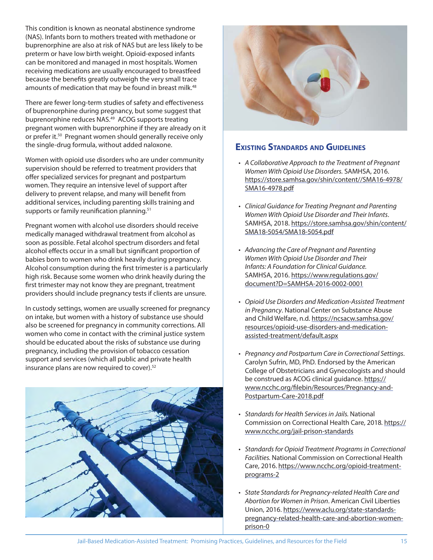This condition is known as neonatal abstinence syndrome (NAS). Infants born to mothers treated with methadone or buprenorphine are also at risk of NAS but are less likely to be preterm or have low birth weight. Opioid-exposed infants can be monitored and managed in most hospitals. Women receiving medications are usually encouraged to breastfeed because the benefits greatly outweigh the very small trace amounts of medication that may be found in breast milk.<sup>48</sup>

There are fewer long-term studies of safety and effectiveness of buprenorphine during pregnancy, but some suggest that buprenorphine reduces NAS.<sup>49</sup> ACOG supports treating pregnant women with buprenorphine if they are already on it or prefer it.50 Pregnant women should generally receive only the single-drug formula, without added naloxone.

Women with opioid use disorders who are under community supervision should be referred to treatment providers that offer specialized services for pregnant and postpartum women. They require an intensive level of support after delivery to prevent relapse, and many will benefit from additional services, including parenting skills training and supports or family reunification planning. $51$ 

Pregnant women with alcohol use disorders should receive medically managed withdrawal treatment from alcohol as soon as possible. Fetal alcohol spectrum disorders and fetal alcohol effects occur in a small but significant proportion of babies born to women who drink heavily during pregnancy. Alcohol consumption during the first trimester is a particularly high risk. Because some women who drink heavily during the first trimester may not know they are pregnant, treatment providers should include pregnancy tests if clients are unsure.

In custody settings, women are usually screened for pregnancy on intake, but women with a history of substance use should also be screened for pregnancy in community corrections. All women who come in contact with the criminal justice system should be educated about the risks of substance use during pregnancy, including the provision of tobacco cessation support and services (which all public and private health insurance plans are now required to cover).52





#### **EXISTING STANDARDS AND GUIDELINES**

- A Collaborative Approach to the Treatment of Pregnant Women With Opioid Use Disorders. SAMHSA, 2016. https://store.samhsa.gov/shin/content//SMA16-4978/ SMA16-4978.pdf
- Clinical Guidance for Treating Pregnant and Parenting Women With Opioid Use Disorder and Their Infants. SAMHSA, 2018. https://store.samhsa.gov/shin/content/ SMA18-5054/SMA18-5054.pdf
- Advancing the Care of Pregnant and Parenting Women With Opioid Use Disorder and Their Infants: A Foundation for Clinical Guidance. SAMHSA, 2016. https://www.regulations.gov/ document?D=SAMHSA-2016-0002-0001
- Opioid Use Disorders and Medication‐Assisted Treatment in Pregnancy. National Center on Substance Abuse and Child Welfare, n.d. https://ncsacw.samhsa.gov/ resources/opioid-use-disorders-and-medicationassisted-treatment/default.aspx
- Pregnancy and Postpartum Care in Correctional Settings. Carolyn Sufrin, MD, PhD. Endorsed by the American College of Obstetricians and Gynecologists and should be construed as ACOG clinical guidance. https:// www.ncchc.org/filebin/Resources/Pregnancy-and-Postpartum-Care-2018.pdf
- Standards for Health Services in Jails. National Commission on Correctional Health Care, 2018. https:// www.ncchc.org/jail-prison-standards
- Standards for Opioid Treatment Programs in Correctional Facilities. National Commission on Correctional Health Care, 2016. https://www.ncchc.org/opioid-treatmentprograms-2
- State Standards for Pregnancy-related Health Care and Abortion for Women in Prison. American Civil Liberties Union, 2016. https://www.aclu.org/state-standardspregnancy-related-health-care-and-abortion-womenprison-0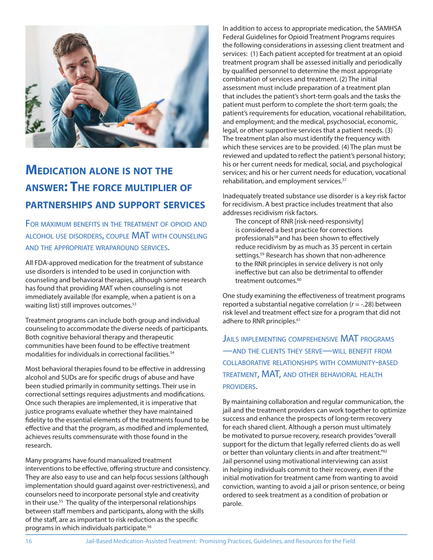

### **MEDICATION ALONE IS NOT THE ANSWER: THE FORCE MULTIPLIER OF PARTNERSHIPS AND SUPPORT SERVICES**

FOR MAXIMUM BENEFITS IN THE TREATMENT OF OPIOID AND ALCOHOL USE DISORDERS, COUPLE MAT WITH COUNSELING AND THE APPROPRIATE WRAPAROUND SERVICES.

All FDA-approved medication for the treatment of substance use disorders is intended to be used in conjunction with counseling and behavioral therapies, although some research has found that providing MAT when counseling is not immediately available (for example, when a patient is on a waiting list) still improves outcomes.<sup>53</sup>

Treatment programs can include both group and individual counseling to accommodate the diverse needs of participants. Both cognitive behavioral therapy and therapeutic communities have been found to be effective treatment modalities for individuals in correctional facilities.<sup>54</sup>

Most behavioral therapies found to be effective in addressing alcohol and SUDs are for specific drugs of abuse and have been studied primarily in community settings. Their use in correctional settings requires adjustments and modifications. Once such therapies are implemented, it is imperative that justice programs evaluate whether they have maintained fidelity to the essential elements of the treatments found to be effective and that the program, as modified and implemented, achieves results commensurate with those found in the research.

Many programs have found manualized treatment interventions to be effective, offering structure and consistency. They are also easy to use and can help focus sessions (although implementation should guard against over-restrictiveness), and counselors need to incorporate personal style and creativity in their use.<sup>55</sup> The quality of the interpersonal relationships between staff members and participants, along with the skills of the staff, are as important to risk reduction as the specific programs in which individuals participate.56

In addition to access to appropriate medication, the SAMHSA Federal Guidelines for Opioid Treatment Programs requires the following considerations in assessing client treatment and services: (1) Each patient accepted for treatment at an opioid treatment program shall be assessed initially and periodically by qualified personnel to determine the most appropriate combination of services and treatment. (2) The initial assessment must include preparation of a treatment plan that includes the patient's short-term goals and the tasks the patient must perform to complete the short-term goals; the patient's requirements for education, vocational rehabilitation, and employment; and the medical, psychosocial, economic, legal, or other supportive services that a patient needs. (3) The treatment plan also must identify the frequency with which these services are to be provided. (4) The plan must be reviewed and updated to reflect the patient's personal history; his or her current needs for medical, social, and psychological services; and his or her current needs for education, vocational rehabilitation, and employment services.<sup>57</sup>

Inadequately treated substance use disorder is a key risk factor for recidivism. A best practice includes treatment that also addresses recidivism risk factors.

The concept of RNR [risk-need-responsivity] is considered a best practice for corrections professionals<sup>58</sup> and has been shown to effectively reduce recidivism by as much as 35 percent in certain settings.<sup>59</sup> Research has shown that non-adherence to the RNR principles in service delivery is not only ineffective but can also be detrimental to offender treatment outcomes.<sup>60</sup>

One study examining the effectiveness of treatment programs reported a substantial negative correlation ( $r = -0.28$ ) between risk level and treatment effect size for a program that did not adhere to RNR principles.<sup>61</sup>

JAILS IMPLEMENTING COMPREHENSIVE MAT PROGRAMS —AND THE CLIENTS THEY SERVE—WILL BENEFIT FROM COLLABORATIVE RELATIONSHIPS WITH COMMUNITY-BASED TREATMENT, MAT, AND OTHER BEHAVIORAL HEALTH PROVIDERS.

By maintaining collaboration and regular communication, the jail and the treatment providers can work together to optimize success and enhance the prospects of long-term recovery for each shared client. Although a person must ultimately be motivated to pursue recovery, research provides "overall support for the dictum that legally referred clients do as well or better than voluntary clients in and after treatment."<sup>62</sup> Jail personnel using motivational interviewing can assist in helping individuals commit to their recovery, even if the initial motivation for treatment came from wanting to avoid conviction, wanting to avoid a jail or prison sentence, or being ordered to seek treatment as a condition of probation or parole.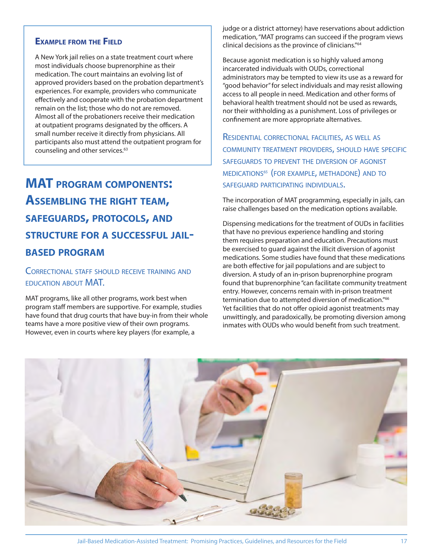#### **EXAMPLE FROM THE FIELD**

A New York jail relies on a state treatment court where most individuals choose buprenorphine as their medication. The court maintains an evolving list of approved providers based on the probation department's experiences. For example, providers who communicate effectively and cooperate with the probation department remain on the list; those who do not are removed. Almost all of the probationers receive their medication at outpatient programs designated by the officers. A small number receive it directly from physicians. All participants also must attend the outpatient program for counseling and other services.<sup>63</sup>

### **MAT PROGRAM COMPONENTS: ASSEMBLING THE RIGHT TEAM, SAFEGUARDS, PROTOCOLS, AND STRUCTURE FOR <sup>A</sup> SUCCESSFUL JAIL-BASED PROGRAM**

#### CORRECTIONAL STAFF SHOULD RECEIVE TRAINING AND EDUCATION ABOUT MAT.

MAT programs, like all other programs, work best when program staff members are supportive. For example, studies have found that drug courts that have buy-in from their whole teams have a more positive view of their own programs. However, even in courts where key players (for example, a

judge or a district attorney) have reservations about addiction medication, "MAT programs can succeed if the program views clinical decisions as the province of clinicians."64

Because agonist medication is so highly valued among incarcerated individuals with OUDs, correctional administrators may be tempted to view its use as a reward for "good behavior" for select individuals and may resist allowing access to all people in need. Medication and other forms of behavioral health treatment should not be used as rewards, nor their withholding as a punishment. Loss of privileges or confinement are more appropriate alternatives.

RESIDENTIAL CORRECTIONAL FACILITIES, AS WELL AS COMMUNITY TREATMENT PROVIDERS, SHOULD HAVE SPECIFIC SAFEGUARDS TO PREVENT THE DIVERSION OF AGONIST MEDICATIONS65 (FOR EXAMPLE, METHADONE) AND TO SAFEGUARD PARTICIPATING INDIVIDUALS.

The incorporation of MAT programming, especially in jails, can raise challenges based on the medication options available.

Dispensing medications for the treatment of OUDs in facilities that have no previous experience handling and storing them requires preparation and education. Precautions must be exercised to guard against the illicit diversion of agonist medications. Some studies have found that these medications are both effective for jail populations and are subject to diversion. A study of an in-prison buprenorphine program found that buprenorphine "can facilitate community treatment entry. However, concerns remain with in-prison treatment termination due to attempted diversion of medication."<sup>66</sup> Yet facilities that do not offer opioid agonist treatments may unwittingly, and paradoxically, be promoting diversion among inmates with OUDs who would benefit from such treatment.

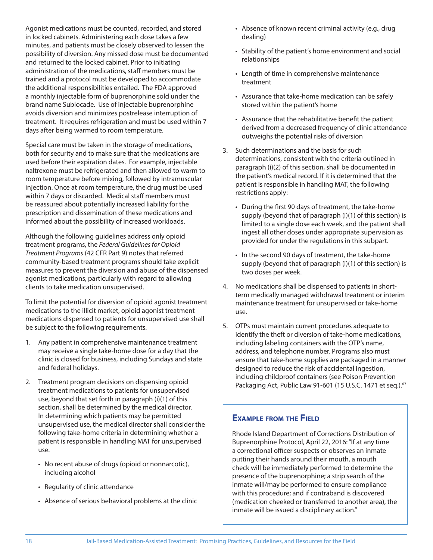Agonist medications must be counted, recorded, and stored in locked cabinets. Administering each dose takes a few minutes, and patients must be closely observed to lessen the possibility of diversion. Any missed dose must be documented and returned to the locked cabinet. Prior to initiating administration of the medications, staff members must be trained and a protocol must be developed to accommodate the additional responsibilities entailed. The FDA approved a monthly injectable form of buprenorphine sold under the brand name Sublocade. Use of injectable buprenorphine avoids diversion and minimizes postrelease interruption of treatment. It requires refrigeration and must be used within 7 days after being warmed to room temperature.

Special care must be taken in the storage of medications, both for security and to make sure that the medications are used before their expiration dates. For example, injectable naltrexone must be refrigerated and then allowed to warm to room temperature before mixing, followed by intramuscular injection. Once at room temperature, the drug must be used within 7 days or discarded. Medical staff members must be reassured about potentially increased liability for the prescription and dissemination of these medications and informed about the possibility of increased workloads.

Although the following guidelines address only opioid treatment programs, the Federal Guidelines for Opioid Treatment Programs (42 CFR Part 9) notes that referred community-based treatment programs should take explicit measures to prevent the diversion and abuse of the dispensed agonist medications, particularly with regard to allowing clients to take medication unsupervised.

To limit the potential for diversion of opioid agonist treatment medications to the illicit market, opioid agonist treatment medications dispensed to patients for unsupervised use shall be subject to the following requirements.

- 1. Any patient in comprehensive maintenance treatment may receive a single take-home dose for a day that the clinic is closed for business, including Sundays and state and federal holidays.
- 2. Treatment program decisions on dispensing opioid treatment medications to patients for unsupervised use, beyond that set forth in paragraph (i)(1) of this section, shall be determined by the medical director. In determining which patients may be permitted unsupervised use, the medical director shall consider the following take-home criteria in determining whether a patient is responsible in handling MAT for unsupervised use.
	- No recent abuse of drugs (opioid or nonnarcotic), including alcohol
	- Regularity of clinic attendance
	- Absence of serious behavioral problems at the clinic
- Absence of known recent criminal activity (e.g., drug dealing)
- Stability of the patient's home environment and social relationships
- Length of time in comprehensive maintenance treatment
- Assurance that take-home medication can be safely stored within the patient's home
- Assurance that the rehabilitative benefit the patient derived from a decreased frequency of clinic attendance outweighs the potential risks of diversion
- 3. Such determinations and the basis for such determinations, consistent with the criteria outlined in paragraph (i)(2) of this section, shall be documented in the patient's medical record. If it is determined that the patient is responsible in handling MAT, the following restrictions apply:
	- During the first 90 days of treatment, the take-home supply (beyond that of paragraph (i)(1) of this section) is limited to a single dose each week, and the patient shall ingest all other doses under appropriate supervision as provided for under the regulations in this subpart.
	- In the second 90 days of treatment, the take-home supply (beyond that of paragraph (i)(1) of this section) is two doses per week.
- 4. No medications shall be dispensed to patients in shortterm medically managed withdrawal treatment or interim maintenance treatment for unsupervised or take-home use.
- 5. OTPs must maintain current procedures adequate to identify the theft or diversion of take-home medications, including labeling containers with the OTP's name, address, and telephone number. Programs also must ensure that take-home supplies are packaged in a manner designed to reduce the risk of accidental ingestion, including childproof containers (see Poison Prevention Packaging Act, Public Law 91-601 (15 U.S.C. 1471 et seq.).<sup>67</sup>

#### **EXAMPLE FROM THE FIELD**

Rhode Island Department of Corrections Distribution of Buprenorphine Protocol, April 22, 2016: "If at any time a correctional officer suspects or observes an inmate putting their hands around their mouth, a mouth check will be immediately performed to determine the presence of the buprenorphine; a strip search of the inmate will/may be performed to ensure compliance with this procedure; and if contraband is discovered (medication cheeked or transferred to another area), the inmate will be issued a disciplinary action."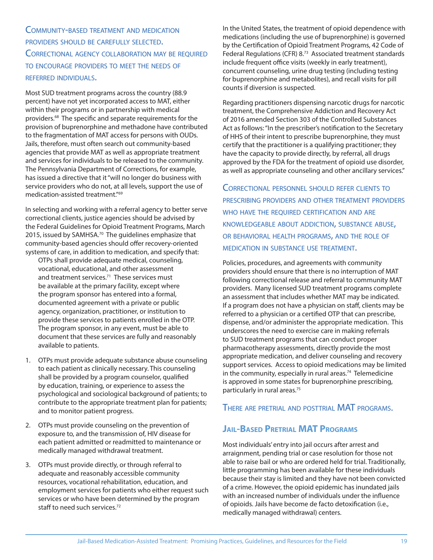COMMUNITY-BASED TREATMENT AND MEDICATION PROVIDERS SHOULD BE CAREFULLY SELECTED. CORRECTIONAL AGENCY COLLABORATION MAY BE REQUIRED TO ENCOURAGE PROVIDERS TO MEET THE NEEDS OF REFERRED INDIVIDUALS.

Most SUD treatment programs across the country (88.9 percent) have not yet incorporated access to MAT, either within their programs or in partnership with medical providers.<sup>68</sup> The specific and separate requirements for the provision of buprenorphine and methadone have contributed to the fragmentation of MAT access for persons with OUDs. Jails, therefore, must often search out community-based agencies that provide MAT as well as appropriate treatment and services for individuals to be released to the community. The Pennsylvania Department of Corrections, for example, has issued a directive that it "will no longer do business with service providers who do not, at all levels, support the use of medication-assisted treatment."69

In selecting and working with a referral agency to better serve correctional clients, justice agencies should be advised by the Federal Guidelines for Opioid Treatment Programs, March 2015, issued by SAMHSA.<sup>70</sup> The guidelines emphasize that community-based agencies should offer recovery-oriented systems of care, in addition to medication, and specify that:

OTPs shall provide adequate medical, counseling, vocational, educational, and other assessment and treatment services.<sup>71</sup> These services must be available at the primary facility, except where the program sponsor has entered into a formal, documented agreement with a private or public agency, organization, practitioner, or institution to provide these services to patients enrolled in the OTP. The program sponsor, in any event, must be able to document that these services are fully and reasonably available to patients.

- 1. OTPs must provide adequate substance abuse counseling to each patient as clinically necessary. This counseling shall be provided by a program counselor, qualified by education, training, or experience to assess the psychological and sociological background of patients; to contribute to the appropriate treatment plan for patients; and to monitor patient progress.
- 2. OTPs must provide counseling on the prevention of exposure to, and the transmission of, HIV disease for each patient admitted or readmitted to maintenance or medically managed withdrawal treatment.
- 3. OTPs must provide directly, or through referral to adequate and reasonably accessible community resources, vocational rehabilitation, education, and employment services for patients who either request such services or who have been determined by the program staff to need such services.72

In the United States, the treatment of opioid dependence with medications (including the use of buprenorphine) is governed by the Certification of Opioid Treatment Programs, 42 Code of Federal Regulations (CFR) 8.73 Associated treatment standards include frequent office visits (weekly in early treatment), concurrent counseling, urine drug testing (including testing for buprenorphine and metabolites), and recall visits for pill counts if diversion is suspected.

Regarding practitioners dispensing narcotic drugs for narcotic treatment, the Comprehensive Addiction and Recovery Act of 2016 amended Section 303 of the Controlled Substances Act as follows: "In the prescriber's notification to the Secretary of HHS of their intent to prescribe buprenorphine, they must certify that the practitioner is a qualifying practitioner; they have the capacity to provide directly, by referral, all drugs approved by the FDA for the treatment of opioid use disorder, as well as appropriate counseling and other ancillary services."

CORRECTIONAL PERSONNEL SHOULD REFER CLIENTS TO PRESCRIBING PROVIDERS AND OTHER TREATMENT PROVIDERS WHO HAVE THE REQUIRED CERTIFICATION AND ARE KNOWLEDGEABLE ABOUT ADDICTION, SUBSTANCE ABUSE, OR BEHAVIORAL HEALTH PROGRAMS, AND THE ROLE OF MEDICATION IN SUBSTANCE USE TREATMENT.

Policies, procedures, and agreements with community providers should ensure that there is no interruption of MAT following correctional release and referral to community MAT providers. Many licensed SUD treatment programs complete an assessment that includes whether MAT may be indicated. If a program does not have a physician on staff, clients may be referred to a physician or a certified OTP that can prescribe, dispense, and/or administer the appropriate medication. This underscores the need to exercise care in making referrals to SUD treatment programs that can conduct proper pharmacotherapy assessments, directly provide the most appropriate medication, and deliver counseling and recovery support services. Access to opioid medications may be limited in the community, especially in rural areas.<sup>74</sup> Telemedicine is approved in some states for buprenorphine prescribing, particularly in rural areas.75

THERE ARE PRETRIAL AND POSTTRIAL MAT PROGRAMS.

#### **JAIL-BASED PRETRIAL MAT PROGRAMS**

Most individuals' entry into jail occurs after arrest and arraignment, pending trial or case resolution for those not able to raise bail or who are ordered held for trial. Traditionally, little programming has been available for these individuals because their stay is limited and they have not been convicted of a crime. However, the opioid epidemic has inundated jails with an increased number of individuals under the influence of opioids. Jails have become de facto detoxification (i.e., medically managed withdrawal) centers.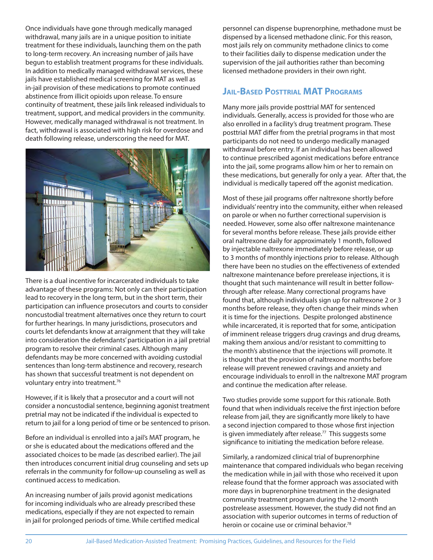Once individuals have gone through medically managed withdrawal, many jails are in a unique position to initiate treatment for these individuals, launching them on the path to long-term recovery. An increasing number of jails have begun to establish treatment programs for these individuals. In addition to medically managed withdrawal services, these jails have established medical screening for MAT as well as in-jail provision of these medications to promote continued abstinence from illicit opioids upon release. To ensure continuity of treatment, these jails link released individuals to treatment, support, and medical providers in the community. However, medically managed withdrawal is not treatment. In fact, withdrawal is associated with high risk for overdose and death following release, underscoring the need for MAT.



There is a dual incentive for incarcerated individuals to take advantage of these programs: Not only can their participation lead to recovery in the long term, but in the short term, their participation can influence prosecutors and courts to consider noncustodial treatment alternatives once they return to court for further hearings. In many jurisdictions, prosecutors and courts let defendants know at arraignment that they will take into consideration the defendants' participation in a jail pretrial program to resolve their criminal cases. Although many defendants may be more concerned with avoiding custodial sentences than long-term abstinence and recovery, research has shown that successful treatment is not dependent on voluntary entry into treatment.76

However, if it is likely that a prosecutor and a court will not consider a noncustodial sentence, beginning agonist treatment pretrial may not be indicated if the individual is expected to return to jail for a long period of time or be sentenced to prison.

Before an individual is enrolled into a jail's MAT program, he or she is educated about the medications offered and the associated choices to be made (as described earlier). The jail then introduces concurrent initial drug counseling and sets up referrals in the community for follow-up counseling as well as continued access to medication.

An increasing number of jails provid agonist medications for incoming individuals who are already prescribed these medications, especially if they are not expected to remain in jail for prolonged periods of time. While certified medical personnel can dispense buprenorphine, methadone must be dispensed by a licensed methadone clinic. For this reason, most jails rely on community methadone clinics to come to their facilities daily to dispense medication under the supervision of the jail authorities rather than becoming licensed methadone providers in their own right.

#### **JAIL-BASED POSTTRIAL MAT PROGRAMS**

Many more jails provide posttrial MAT for sentenced individuals. Generally, access is provided for those who are also enrolled in a facility's drug treatment program. These posttrial MAT differ from the pretrial programs in that most participants do not need to undergo medically managed withdrawal before entry. If an individual has been allowed to continue prescribed agonist medications before entrance into the jail, some programs allow him or her to remain on these medications, but generally for only a year. After that, the individual is medically tapered off the agonist medication.

Most of these jail programs offer naltrexone shortly before individuals' reentry into the community, either when released on parole or when no further correctional supervision is needed. However, some also offer naltrexone maintenance for several months before release. These jails provide either oral naltrexone daily for approximately 1 month, followed by injectable naltrexone immediately before release, or up to 3 months of monthly injections prior to release. Although there have been no studies on the effectiveness of extended naltrexone maintenance before prerelease injections, it is thought that such maintenance will result in better followthrough after release. Many correctional programs have found that, although individuals sign up for naltrexone 2 or 3 months before release, they often change their minds when it is time for the injections. Despite prolonged abstinence while incarcerated, it is reported that for some, anticipation of imminent release triggers drug cravings and drug dreams, making them anxious and/or resistant to committing to the month's abstinence that the injections will promote. It is thought that the provision of naltrexone months before release will prevent renewed cravings and anxiety and encourage individuals to enroll in the naltrexone MAT program and continue the medication after release.

Two studies provide some support for this rationale. Both found that when individuals receive the first injection before release from jail, they are significantly more likely to have a second injection compared to those whose first injection is given immediately after release.<sup>77</sup> This suggests some significance to initiating the medication before release.

Similarly, a randomized clinical trial of buprenorphine maintenance that compared individuals who began receiving the medication while in jail with those who received it upon release found that the former approach was associated with more days in buprenorphine treatment in the designated community treatment program during the 12-month postrelease assessment. However, the study did not find an association with superior outcomes in terms of reduction of heroin or cocaine use or criminal behavior.<sup>78</sup>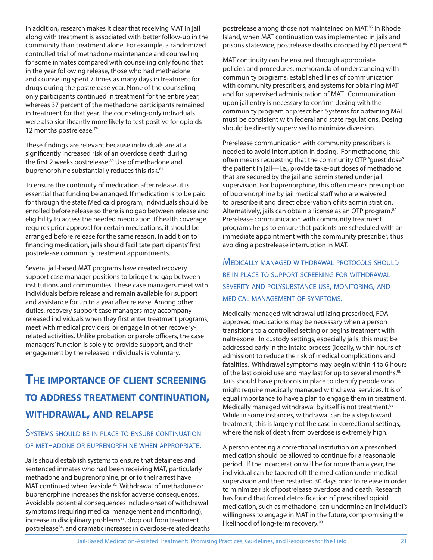In addition, research makes it clear that receiving MAT in jail along with treatment is associated with better follow-up in the community than treatment alone. For example, a randomized controlled trial of methadone maintenance and counseling for some inmates compared with counseling only found that in the year following release, those who had methadone and counseling spent 7 times as many days in treatment for drugs during the postrelease year. None of the counselingonly participants continued in treatment for the entire year, whereas 37 percent of the methadone participants remained in treatment for that year. The counseling-only individuals were also significantly more likely to test positive for opioids 12 months postrelease.<sup>79</sup>

These findings are relevant because individuals are at a significantly increased risk of an overdose death during the first 2 weeks postrelease.<sup>80</sup> Use of methadone and buprenorphine substantially reduces this risk.<sup>81</sup>

To ensure the continuity of medication after release, it is essential that funding be arranged. If medication is to be paid for through the state Medicaid program, individuals should be enrolled before release so there is no gap between release and eligibility to access the needed medication. If health coverage requires prior approval for certain medications, it should be arranged before release for the same reason. In addition to financing medication, jails should facilitate participants' first postrelease community treatment appointments.

Several jail-based MAT programs have created recovery support case manager positions to bridge the gap between institutions and communities. These case managers meet with individuals before release and remain available for support and assistance for up to a year after release. Among other duties, recovery support case managers may accompany released individuals when they first enter treatment programs, meet with medical providers, or engage in other recoveryrelated activities. Unlike probation or parole officers, the case managers' function is solely to provide support, and their engagement by the released individuals is voluntary.

### **THE IMPORTANCE OF CLIENT SCREENING TO ADDRESS TREATMENT CONTINUATION, WITHDRAWAL, AND RELAPSE**

#### SYSTEMS SHOULD BE IN PLACE TO ENSURE CONTINUATION OF METHADONE OR BUPRENORPHINE WHEN APPROPRIATE.

Jails should establish systems to ensure that detainees and sentenced inmates who had been receiving MAT, particularly methadone and buprenorphine, prior to their arrest have MAT continued when feasible.<sup>82</sup> Withdrawal of methadone or buprenorphine increases the risk for adverse consequences. Avoidable potential consequences include onset of withdrawal symptoms (requiring medical management and monitoring), increase in disciplinary problems<sup>83</sup>, drop out from treatment postrelease<sup>84</sup>, and dramatic increases in overdose-related deaths postrelease among those not maintained on MAT.<sup>85</sup> In Rhode Island, when MAT continuation was implemented in jails and prisons statewide, postrelease deaths dropped by 60 percent.<sup>86</sup>

MAT continuity can be ensured through appropriate policies and procedures, memoranda of understanding with community programs, established lines of communication with community prescribers, and systems for obtaining MAT and for supervised administration of MAT. Communication upon jail entry is necessary to confirm dosing with the community program or prescriber. Systems for obtaining MAT must be consistent with federal and state regulations. Dosing should be directly supervised to minimize diversion.

Prerelease communication with community prescribers is needed to avoid interruption in dosing. For methadone, this often means requesting that the community OTP "guest dose" the patient in jail—i.e., provide take-out doses of methadone that are secured by the jail and administered under jail supervision. For buprenorphine, this often means prescription of buprenorphine by jail medical staff who are waivered to prescribe it and direct observation of its administration. Alternatively, jails can obtain a license as an OTP program.<sup>87</sup> Prerelease communication with community treatment programs helps to ensure that patients are scheduled with an immediate appointment with the community prescriber, thus avoiding a postrelease interruption in MAT.

MEDICALLY MANAGED WITHDRAWAL PROTOCOLS SHOULD BE IN PLACE TO SUPPORT SCREENING FOR WITHDRAWAL SEVERITY AND POLYSUBSTANCE USE, MONITORING, AND MEDICAL MANAGEMENT OF SYMPTOMS.

Medically managed withdrawal utilizing prescribed, FDAapproved medications may be necessary when a person transitions to a controlled setting or begins treatment with naltrexone. In custody settings, especially jails, this must be addressed early in the intake process (ideally, within hours of admission) to reduce the risk of medical complications and fatalities. Withdrawal symptoms may begin within 4 to 6 hours of the last opioid use and may last for up to several months.<sup>88</sup> Jails should have protocols in place to identify people who might require medically managed withdrawal services. It is of equal importance to have a plan to engage them in treatment. Medically managed withdrawal by itself is not treatment.<sup>89</sup> While in some instances, withdrawal can be a step toward treatment, this is largely not the case in correctional settings, where the risk of death from overdose is extremely high.

A person entering a correctional institution on a prescribed medication should be allowed to continue for a reasonable period. If the incarceration will be for more than a year, the individual can be tapered off the medication under medical supervision and then restarted 30 days prior to release in order to minimize risk of postrelease overdose and death. Research has found that forced detoxification of prescribed opioid medication, such as methadone, can undermine an individual's willingness to engage in MAT in the future, compromising the likelihood of long-term recovery.90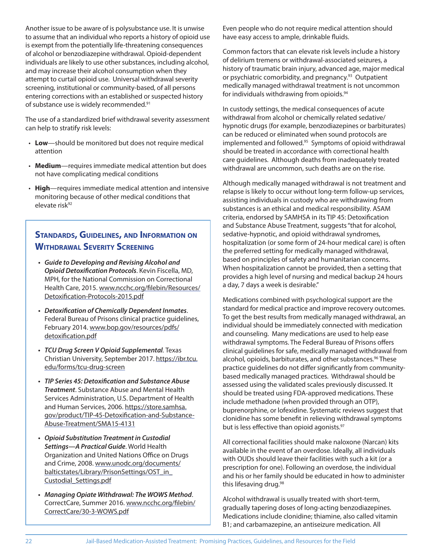Another issue to be aware of is polysubstance use. It is unwise to assume that an individual who reports a history of opioid use is exempt from the potentially life-threatening consequences of alcohol or benzodiazepine withdrawal. Opioid-dependent individuals are likely to use other substances, including alcohol, and may increase their alcohol consumption when they attempt to curtail opioid use. Universal withdrawal severity screening, institutional or community-based, of all persons entering corrections with an established or suspected history of substance use is widely recommended.<sup>91</sup>

The use of a standardized brief withdrawal severity assessment can help to stratify risk levels:

- **Low**—should be monitored but does not require medical attention
- **Medium**—requires immediate medical attention but does not have complicating medical conditions
- **High**—requires immediate medical attention and intensive monitoring because of other medical conditions that elevate risk<sup>92</sup>

#### **STANDARDS, GUIDELINES, AND INFORMATION ON WITHDRAWAL SEVERITY SCREENING**

- **Guide to Developing and Revising Alcohol and Opioid Detoxification Protocols**. Kevin Fiscella, MD, MPH, for the National Commission on Correctional Health Care, 2015. www.ncchc.org/filebin/Resources/ Detoxification-Protocols-2015.pdf
- **Detoxifi cation of Chemically Dependent Inmates**. Federal Bureau of Prisons clinical practice guidelines, February 2014. www.bop.gov/resources/pdfs/ detoxification.pdf
- **TCU Drug Screen V Opioid Supplemental**. Texas Christian University, September 2017. https://ibr.tcu. edu/forms/tcu-drug-screen
- **TIP Series 45: Detoxification and Substance Abuse Treatment**. Substance Abuse and Mental Health Services Administration, U.S. Department of Health and Human Services, 2006. https://store.samhsa. gov/product/TIP-45-Detoxification-and-Substance-Abuse-Treatment/SMA15-4131
- **Opioid Substitution Treatment in Custodial Settings—A Practical Guide**. World Health Organization and United Nations Office on Drugs and Crime, 2008. www.unodc.org/documents/ balticstates/Library/PrisonSettings/OST\_in\_ Custodial\_Settings.pdf
- **Managing Opiate Withdrawal: The WOWS Method**. CorrectCare, Summer 2016. www.ncchc.org/filebin/ CorrectCare/30-3-WOWS.pdf

Even people who do not require medical attention should have easy access to ample, drinkable fluids.

Common factors that can elevate risk levels include a history of delirium tremens or withdrawal-associated seizures, a history of traumatic brain injury, advanced age, major medical or psychiatric comorbidity, and pregnancy.<sup>93</sup> Outpatient medically managed withdrawal treatment is not uncommon for individuals withdrawing from opioids.<sup>94</sup>

In custody settings, the medical consequences of acute withdrawal from alcohol or chemically related sedative/ hypnotic drugs (for example, benzodiazepines or barbiturates) can be reduced or eliminated when sound protocols are implemented and followed.<sup>95</sup> Symptoms of opioid withdrawal should be treated in accordance with correctional health care guidelines. Although deaths from inadequately treated withdrawal are uncommon, such deaths are on the rise.

Although medically managed withdrawal is not treatment and relapse is likely to occur without long-term follow-up services, assisting individuals in custody who are withdrawing from substances is an ethical and medical responsibility. ASAM criteria, endorsed by SAMHSA in its TIP 45: Detoxification and Substance Abuse Treatment, suggests "that for alcohol, sedative-hypnotic, and opioid withdrawal syndromes, hospitalization (or some form of 24-hour medical care) is often the preferred setting for medically managed withdrawal, based on principles of safety and humanitarian concerns. When hospitalization cannot be provided, then a setting that provides a high level of nursing and medical backup 24 hours a day, 7 days a week is desirable."

Medications combined with psychological support are the standard for medical practice and improve recovery outcomes. To get the best results from medically managed withdrawal, an individual should be immediately connected with medication and counseling. Many medications are used to help ease withdrawal symptoms. The Federal Bureau of Prisons offers clinical guidelines for safe, medically managed withdrawal from alcohol, opioids, barbiturates, and other substances.<sup>96</sup> These practice quidelines do not differ significantly from communitybased medically managed practices. Withdrawal should be assessed using the validated scales previously discussed. It should be treated using FDA-approved medications. These include methadone (when provided through an OTP), buprenorphine, or lofexidine. Systematic reviews suggest that clonidine has some benefit in relieving withdrawal symptoms but is less effective than opioid agonists.<sup>97</sup>

All correctional facilities should make naloxone (Narcan) kits available in the event of an overdose. Ideally, all individuals with OUDs should leave their facilities with such a kit (or a prescription for one). Following an overdose, the individual and his or her family should be educated in how to administer this lifesaving drug.98

Alcohol withdrawal is usually treated with short-term, gradually tapering doses of long-acting benzodiazepines. Medications include clonidine; thiamine, also called vitamin B1; and carbamazepine, an antiseizure medication. All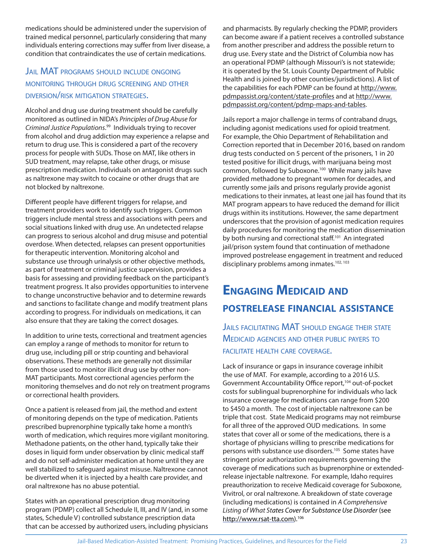medications should be administered under the supervision of trained medical personnel, particularly considering that many individuals entering corrections may suffer from liver disease, a condition that contraindicates the use of certain medications.

#### JAIL MAT PROGRAMS SHOULD INCLUDE ONGOING MONITORING THROUGH DRUG SCREENING AND OTHER DIVERSION/RISK MITIGATION STRATEGIES.

Alcohol and drug use during treatment should be carefully monitored as outlined in NIDA's Principles of Drug Abuse for Criminal Justice Populations. 99 Individuals trying to recover from alcohol and drug addiction may experience a relapse and return to drug use. This is considered a part of the recovery process for people with SUDs. Those on MAT, like others in SUD treatment, may relapse, take other drugs, or misuse prescription medication. Individuals on antagonist drugs such as naltrexone may switch to cocaine or other drugs that are not blocked by naltrexone.

Different people have different triggers for relapse, and treatment providers work to identify such triggers. Common triggers include mental stress and associations with peers and social situations linked with drug use. An undetected relapse can progress to serious alcohol and drug misuse and potential overdose. When detected, relapses can present opportunities for therapeutic intervention. Monitoring alcohol and substance use through urinalysis or other objective methods, as part of treatment or criminal justice supervision, provides a basis for assessing and providing feedback on the participant's treatment progress. It also provides opportunities to intervene to change unconstructive behavior and to determine rewards and sanctions to facilitate change and modify treatment plans according to progress. For individuals on medications, it can also ensure that they are taking the correct dosages.

In addition to urine tests, correctional and treatment agencies can employ a range of methods to monitor for return to drug use, including pill or strip counting and behavioral observations. These methods are generally not dissimilar from those used to monitor illicit drug use by other non-MAT participants. Most correctional agencies perform the monitoring themselves and do not rely on treatment programs or correctional health providers.

Once a patient is released from jail, the method and extent of monitoring depends on the type of medication. Patients prescribed buprenorphine typically take home a month's worth of medication, which requires more vigilant monitoring. Methadone patients, on the other hand, typically take their doses in liquid form under observation by clinic medical staff and do not self-administer medication at home until they are well stabilized to safeguard against misuse. Naltrexone cannot be diverted when it is injected by a health care provider, and oral naltrexone has no abuse potential.

 States with an operational prescription drug monitoring program (PDMP) collect all Schedule II, III, and IV (and, in some states, Schedule V) controlled substance prescription data that can be accessed by authorized users, including physicians and pharmacists. By regularly checking the PDMP, providers can become aware if a patient receives a controlled substance from another prescriber and address the possible return to drug use. Every state and the District of Columbia now has an operational PDMP (although Missouri's is not statewide; it is operated by the St. Louis County Department of Public Health and is joined by other counties/jurisdictions). A list of the capabilities for each PDMP can be found at http://www. pdmpassist.org/content/state-profiles and at http://www. pdmpassist.org/content/pdmp-maps-and-tables.

Jails report a major challenge in terms of contraband drugs, including agonist medications used for opioid treatment. For example, the Ohio Department of Rehabilitation and Correction reported that in December 2016, based on random drug tests conducted on 5 percent of the prisoners, 1 in 20 tested positive for illicit drugs, with marijuana being most common, followed by Suboxone.100 While many jails have provided methadone to pregnant women for decades, and currently some jails and prisons regularly provide agonist medications to their inmates, at least one jail has found that its MAT program appears to have reduced the demand for illicit drugs within its institutions. However, the same department underscores that the provision of agonist medication requires daily procedures for monitoring the medication dissemination by both nursing and correctional staff.<sup>101</sup> An integrated jail/prison system found that continuation of methadone improved postrelease engagement in treatment and reduced disciplinary problems among inmates.<sup>102, 103</sup>

### **ENGAGING MEDICAID AND POSTRELEASE FINANCIAL ASSISTANCE**

**JAILS FACILITATING MAT SHOULD ENGAGE THEIR STATE** MEDICAID AGENCIES AND OTHER PUBLIC PAYERS TO FACILITATE HEALTH CARE COVERAGE.

Lack of insurance or gaps in insurance coverage inhibit the use of MAT. For example, according to a 2016 U.S. Government Accountability Office report,<sup>104</sup> out-of-pocket costs for sublingual buprenorphine for individuals who lack insurance coverage for medications can range from \$200 to \$450 a month. The cost of injectable naltrexone can be triple that cost. State Medicaid programs may not reimburse for all three of the approved OUD medications. In some states that cover all or some of the medications, there is a shortage of physicians willing to prescribe medications for persons with substance use disorders.105 Some states have stringent prior authorization requirements governing the coverage of medications such as buprenorphine or extendedrelease injectable naltrexone. For example, Idaho requires preauthorization to receive Medicaid coverage for Suboxone, Vivitrol, or oral naltrexone. A breakdown of state coverage (including medications) is contained in A Comprehensive Listing of What States Cover for Substance Use Disorder (see http://www.rsat-tta.com).106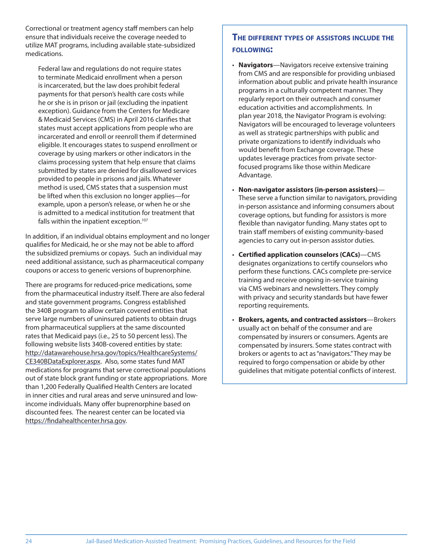Correctional or treatment agency staff members can help ensure that individuals receive the coverage needed to utilize MAT programs, including available state-subsidized medications.

Federal law and regulations do not require states to terminate Medicaid enrollment when a person is incarcerated, but the law does prohibit federal payments for that person's health care costs while he or she is in prison or jail (excluding the inpatient exception). Guidance from the Centers for Medicare & Medicaid Services (CMS) in April 2016 clarifies that states must accept applications from people who are incarcerated and enroll or reenroll them if determined eligible. It encourages states to suspend enrollment or coverage by using markers or other indicators in the claims processing system that help ensure that claims submitted by states are denied for disallowed services provided to people in prisons and jails. Whatever method is used, CMS states that a suspension must be lifted when this exclusion no longer applies—for example, upon a person's release, or when he or she is admitted to a medical institution for treatment that falls within the inpatient exception.<sup>107</sup>

In addition, if an individual obtains employment and no longer qualifies for Medicaid, he or she may not be able to afford the subsidized premiums or copays. Such an individual may need additional assistance, such as pharmaceutical company coupons or access to generic versions of buprenorphine.

There are programs for reduced-price medications, some from the pharmaceutical industry itself. There are also federal and state government programs. Congress established the 340B program to allow certain covered entities that serve large numbers of uninsured patients to obtain drugs from pharmaceutical suppliers at the same discounted rates that Medicaid pays (i.e., 25 to 50 percent less). The following website lists 340B-covered entities by state: http://datawarehouse.hrsa.gov/topics/HealthcareSystems/ CE340BDataExplorer.aspx. Also, some states fund MAT medications for programs that serve correctional populations out of state block grant funding or state appropriations. More than 1,200 Federally Oualified Health Centers are located in inner cities and rural areas and serve uninsured and lowincome individuals. Many offer buprenorphine based on discounted fees. The nearest center can be located via https://findahealthcenter.hrsa.gov.

#### **THE DIFFERENT TYPES OF ASSISTORS INCLUDE THE FOLLOWING:**

- **Navigators**—Navigators receive extensive training from CMS and are responsible for providing unbiased information about public and private health insurance programs in a culturally competent manner. They regularly report on their outreach and consumer education activities and accomplishments. In plan year 2018, the Navigator Program is evolving: Navigators will be encouraged to leverage volunteers as well as strategic partnerships with public and private organizations to identify individuals who would benefit from Exchange coverage. These updates leverage practices from private sectorfocused programs like those within Medicare Advantage.
- **Non-navigator assistors (in-person assisters)** These serve a function similar to navigators, providing in-person assistance and informing consumers about coverage options, but funding for assistors is more flexible than navigator funding. Many states opt to train staff members of existing community-based agencies to carry out in-person assistor duties.
- **Certified application counselors (CACs)**—CMS designates organizations to certify counselors who perform these functions. CACs complete pre-service training and receive ongoing in-service training via CMS webinars and newsletters. They comply with privacy and security standards but have fewer reporting requirements.
- **Brokers, agents, and contracted assistors**—Brokers usually act on behalf of the consumer and are compensated by insurers or consumers. Agents are compensated by insurers. Some states contract with brokers or agents to act as "navigators." They may be required to forgo compensation or abide by other guidelines that mitigate potential conflicts of interest.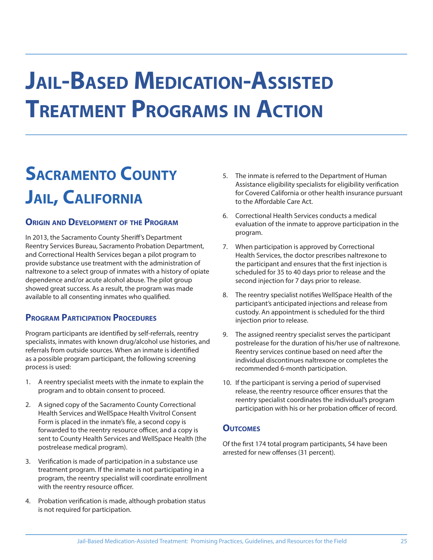# **JAIL-BASED MEDICATION-ASSISTED TREATMENT PROGRAMS IN ACTION**

## **SACRAMENTO COUNTY JAIL, CALIFORNIA**

#### **ORIGIN AND DEVELOPMENT OF THE PROGRAM**

In 2013, the Sacramento County Sheriff 's Department Reentry Services Bureau, Sacramento Probation Department, and Correctional Health Services began a pilot program to provide substance use treatment with the administration of naltrexone to a select group of inmates with a history of opiate dependence and/or acute alcohol abuse. The pilot group showed great success. As a result, the program was made available to all consenting inmates who qualified.

#### **PROGRAM PARTICIPATION PROCEDURES**

Program participants are identified by self-referrals, reentry specialists, inmates with known drug/alcohol use histories, and referrals from outside sources. When an inmate is identified as a possible program participant, the following screening process is used:

- 1. A reentry specialist meets with the inmate to explain the program and to obtain consent to proceed.
- 2. A signed copy of the Sacramento County Correctional Health Services and WellSpace Health Vivitrol Consent Form is placed in the inmate's file, a second copy is forwarded to the reentry resource officer, and a copy is sent to County Health Services and WellSpace Health (the postrelease medical program).
- 3. Verification is made of participation in a substance use treatment program. If the inmate is not participating in a program, the reentry specialist will coordinate enrollment with the reentry resource officer.
- 4. Probation verification is made, although probation status is not required for participation.
- 5. The inmate is referred to the Department of Human Assistance eligibility specialists for eligibility verification for Covered California or other health insurance pursuant to the Affordable Care Act.
- 6. Correctional Health Services conducts a medical evaluation of the inmate to approve participation in the program.
- 7. When participation is approved by Correctional Health Services, the doctor prescribes naltrexone to the participant and ensures that the first injection is scheduled for 35 to 40 days prior to release and the second injection for 7 days prior to release.
- 8. The reentry specialist notifies WellSpace Health of the participant's anticipated injections and release from custody. An appointment is scheduled for the third injection prior to release.
- 9. The assigned reentry specialist serves the participant postrelease for the duration of his/her use of naltrexone. Reentry services continue based on need after the individual discontinues naltrexone or completes the recommended 6-month participation.
- 10. If the participant is serving a period of supervised release, the reentry resource officer ensures that the reentry specialist coordinates the individual's program participation with his or her probation officer of record.

#### **OUTCOMES**

Of the first 174 total program participants, 54 have been arrested for new offenses (31 percent).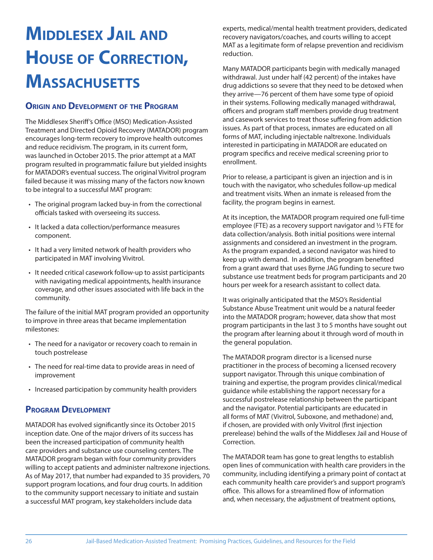## **MIDDLESEX JAIL AND HOUSE OF CORRECTION, MASSACHUSETTS**

#### **ORIGIN AND DEVELOPMENT OF THE PROGRAM**

The Middlesex Sheriff's Office (MSO) Medication-Assisted Treatment and Directed Opioid Recovery (MATADOR) program encourages long-term recovery to improve health outcomes and reduce recidivism. The program, in its current form, was launched in October 2015. The prior attempt at a MAT program resulted in programmatic failure but yielded insights for MATADOR's eventual success. The original Vivitrol program failed because it was missing many of the factors now known to be integral to a successful MAT program:

- The original program lacked buy-in from the correctional officials tasked with overseeing its success.
- It lacked a data collection/performance measures component.
- It had a very limited network of health providers who participated in MAT involving Vivitrol.
- It needed critical casework follow-up to assist participants with navigating medical appointments, health insurance coverage, and other issues associated with life back in the community.

The failure of the initial MAT program provided an opportunity to improve in three areas that became implementation milestones:

- The need for a navigator or recovery coach to remain in touch postrelease
- The need for real-time data to provide areas in need of improvement
- Increased participation by community health providers

#### **PROGRAM DEVELOPMENT**

MATADOR has evolved significantly since its October 2015 inception date. One of the major drivers of its success has been the increased participation of community health care providers and substance use counseling centers. The MATADOR program began with four community providers willing to accept patients and administer naltrexone injections. As of May 2017, that number had expanded to 35 providers, 70 support program locations, and four drug courts. In addition to the community support necessary to initiate and sustain a successful MAT program, key stakeholders include data

experts, medical/mental health treatment providers, dedicated recovery navigators/coaches, and courts willing to accept MAT as a legitimate form of relapse prevention and recidivism reduction.

Many MATADOR participants begin with medically managed withdrawal. Just under half (42 percent) of the intakes have drug addictions so severe that they need to be detoxed when they arrive—76 percent of them have some type of opioid in their systems. Following medically managed withdrawal, officers and program staff members provide drug treatment and casework services to treat those suffering from addiction issues. As part of that process, inmates are educated on all forms of MAT, including injectable naltrexone. Individuals interested in participating in MATADOR are educated on program specifics and receive medical screening prior to enrollment.

Prior to release, a participant is given an injection and is in touch with the navigator, who schedules follow-up medical and treatment visits. When an inmate is released from the facility, the program begins in earnest.

At its inception, the MATADOR program required one full-time employee (FTE) as a recovery support navigator and ½ FTE for data collection/analysis. Both initial positions were internal assignments and considered an investment in the program. As the program expanded, a second navigator was hired to keep up with demand. In addition, the program benefited from a grant award that uses Byrne JAG funding to secure two substance use treatment beds for program participants and 20 hours per week for a research assistant to collect data.

It was originally anticipated that the MSO's Residential Substance Abuse Treatment unit would be a natural feeder into the MATADOR program; however, data show that most program participants in the last 3 to 5 months have sought out the program after learning about it through word of mouth in the general population.

The MATADOR program director is a licensed nurse practitioner in the process of becoming a licensed recovery support navigator. Through this unique combination of training and expertise, the program provides clinical/medical guidance while establishing the rapport necessary for a successful postrelease relationship between the participant and the navigator. Potential participants are educated in all forms of MAT (Vivitrol, Suboxone, and methadone) and, if chosen, are provided with only Vivitrol (first injection prerelease) behind the walls of the Middlesex Jail and House of Correction.

The MATADOR team has gone to great lengths to establish open lines of communication with health care providers in the community, including identifying a primary point of contact at each community health care provider's and support program's office. This allows for a streamlined flow of information and, when necessary, the adjustment of treatment options,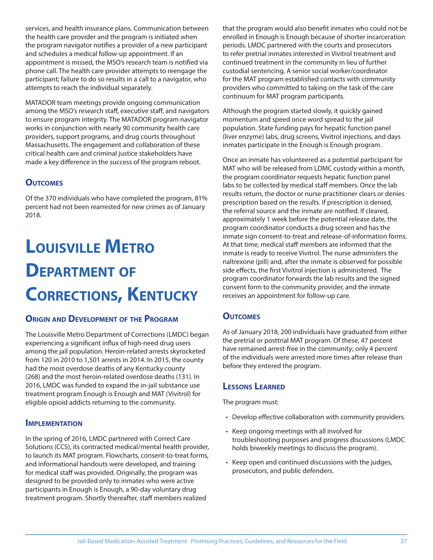services, and health insurance plans. Communication between the health care provider and the program is initiated when the program navigator notifies a provider of a new participant and schedules a medical follow-up appointment. If an appointment is missed, the MSO's research team is notified via phone call. The health care provider attempts to reengage the participant; failure to do so results in a call to a navigator, who attempts to reach the individual separately.

MATADOR team meetings provide ongoing communication among the MSO's research staff, executive staff, and navigators to ensure program integrity. The MATADOR program navigator works in conjunction with nearly 90 community health care providers, support programs, and drug courts throughout Massachusetts. The engagement and collaboration of these critical health care and criminal justice stakeholders have made a key difference in the success of the program reboot.

#### **OUTCOMES**

Of the 370 individuals who have completed the program, 81% percent had not been rearrested for new crimes as of January 2018.

## **LOUISVILLE METRO DEPARTMENT OF CORRECTIONS, KENTUCKY**

#### **ORIGIN AND DEVELOPMENT OF THE PROGRAM**

The Louisville Metro Department of Corrections (LMDC) began experiencing a significant influx of high-need drug users among the jail population. Heroin-related arrests skyrocketed from 120 in 2010 to 1,501 arrests in 2014. In 2015, the county had the most overdose deaths of any Kentucky county (268) and the most heroin-related overdose deaths (131). In 2016, LMDC was funded to expand the in-jail substance use treatment program Enough is Enough and MAT (Vivitrol) for eligible opioid addicts returning to the community.

#### **IMPLEMENTATION**

In the spring of 2016, LMDC partnered with Correct Care Solutions (CCS), its contracted medical/mental health provider, to launch its MAT program. Flowcharts, consent-to-treat forms, and informational handouts were developed, and training for medical staff was provided. Originally, the program was designed to be provided only to inmates who were active participants in Enough is Enough, a 90-day voluntary drug treatment program. Shortly thereafter, staff members realized

that the program would also benefit inmates who could not be enrolled in Enough is Enough because of shorter incarceration periods. LMDC partnered with the courts and prosecutors to refer pretrial inmates interested in Vivitrol treatment and continued treatment in the community in lieu of further custodial sentencing. A senior social worker/coordinator for the MAT program established contacts with community providers who committed to taking on the task of the care continuum for MAT program participants.

Although the program started slowly, it quickly gained momentum and speed once word spread to the jail population. State funding pays for hepatic function panel (liver enzyme) labs, drug screens, Vivitrol injections, and days inmates participate in the Enough is Enough program.

Once an inmate has volunteered as a potential participant for MAT who will be released from LDMC custody within a month, the program coordinator requests hepatic function panel labs to be collected by medical staff members. Once the lab results return, the doctor or nurse practitioner clears or denies prescription based on the results. If prescription is denied, the referral source and the inmate are notified. If cleared, approximately 1 week before the potential release date, the program coordinator conducts a drug screen and has the inmate sign consent-to-treat and release-of-information forms. At that time, medical staff members are informed that the inmate is ready to receive Vivitrol. The nurse administers the naltrexone (pill) and, after the inmate is observed for possible side effects, the first Vivitrol injection is administered. The program coordinator forwards the lab results and the signed consent form to the community provider, and the inmate receives an appointment for follow-up care.

#### **OUTCOMES**

As of January 2018, 200 individuals have graduated from either the pretrial or posttrial MAT program. Of these, 47 percent have remained arrest-free in the community; only 4 percent of the individuals were arrested more times after release than before they entered the program.

#### **LESSONS LEARNED**

The program must:

- Develop effective collaboration with community providers.
- Keep ongoing meetings with all involved for troubleshooting purposes and progress discussions (LMDC holds biweekly meetings to discuss the program).
- Keep open and continued discussions with the judges, prosecutors, and public defenders.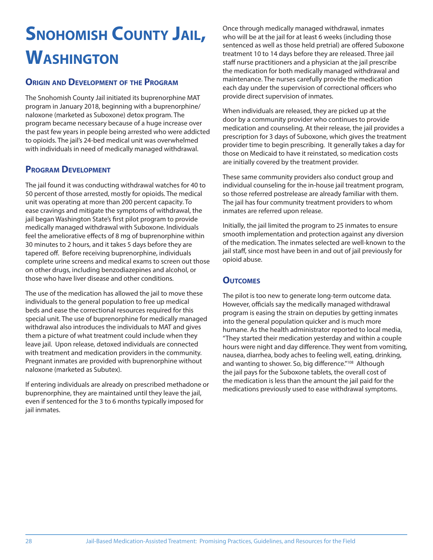## **SNOHOMISH COUNTY JAIL, WASHINGTON**

#### **ORIGIN AND DEVELOPMENT OF THE PROGRAM**

The Snohomish County Jail initiated its buprenorphine MAT program in January 2018, beginning with a buprenorphine/ naloxone (marketed as Suboxone) detox program. The program became necessary because of a huge increase over the past few years in people being arrested who were addicted to opioids. The jail's 24-bed medical unit was overwhelmed with individuals in need of medically managed withdrawal.

#### **PROGRAM DEVELOPMENT**

The jail found it was conducting withdrawal watches for 40 to 50 percent of those arrested, mostly for opioids. The medical unit was operating at more than 200 percent capacity. To ease cravings and mitigate the symptoms of withdrawal, the jail began Washington State's first pilot program to provide medically managed withdrawal with Suboxone. Individuals feel the ameliorative effects of 8 mg of buprenorphine within 30 minutes to 2 hours, and it takes 5 days before they are tapered off. Before receiving buprenorphine, individuals complete urine screens and medical exams to screen out those on other drugs, including benzodiazepines and alcohol, or those who have liver disease and other conditions.

The use of the medication has allowed the jail to move these individuals to the general population to free up medical beds and ease the correctional resources required for this special unit. The use of buprenorphine for medically managed withdrawal also introduces the individuals to MAT and gives them a picture of what treatment could include when they leave jail. Upon release, detoxed individuals are connected with treatment and medication providers in the community. Pregnant inmates are provided with buprenorphine without naloxone (marketed as Subutex).

If entering individuals are already on prescribed methadone or buprenorphine, they are maintained until they leave the jail, even if sentenced for the 3 to 6 months typically imposed for jail inmates.

Once through medically managed withdrawal, inmates who will be at the jail for at least 6 weeks (including those sentenced as well as those held pretrial) are offered Suboxone treatment 10 to 14 days before they are released. Three jail staff nurse practitioners and a physician at the jail prescribe the medication for both medically managed withdrawal and maintenance. The nurses carefully provide the medication each day under the supervision of correctional officers who provide direct supervision of inmates.

When individuals are released, they are picked up at the door by a community provider who continues to provide medication and counseling. At their release, the jail provides a prescription for 3 days of Suboxone, which gives the treatment provider time to begin prescribing. It generally takes a day for those on Medicaid to have it reinstated, so medication costs are initially covered by the treatment provider.

These same community providers also conduct group and individual counseling for the in-house jail treatment program, so those referred postrelease are already familiar with them. The jail has four community treatment providers to whom inmates are referred upon release.

Initially, the jail limited the program to 25 inmates to ensure smooth implementation and protection against any diversion of the medication. The inmates selected are well-known to the jail staff, since most have been in and out of jail previously for opioid abuse.

#### **OUTCOMES**

The pilot is too new to generate long-term outcome data. However, officials say the medically managed withdrawal program is easing the strain on deputies by getting inmates into the general population quicker and is much more humane. As the health administrator reported to local media, "They started their medication yesterday and within a couple hours were night and day difference. They went from vomiting, nausea, diarrhea, body aches to feeling well, eating, drinking, and wanting to shower. So, big difference."<sup>108</sup> Although the jail pays for the Suboxone tablets, the overall cost of the medication is less than the amount the jail paid for the medications previously used to ease withdrawal symptoms.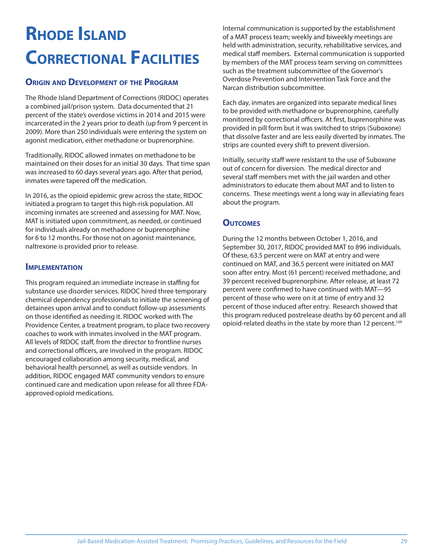## **RHODE ISLAND CORRECTIONAL FACILITIES**

#### **ORIGIN AND DEVELOPMENT OF THE PROGRAM**

The Rhode Island Department of Corrections (RIDOC) operates a combined jail/prison system. Data documented that 21 percent of the state's overdose victims in 2014 and 2015 were incarcerated in the 2 years prior to death (up from 9 percent in 2009). More than 250 individuals were entering the system on agonist medication, either methadone or buprenorphine.

Traditionally, RIDOC allowed inmates on methadone to be maintained on their doses for an initial 30 days. That time span was increased to 60 days several years ago. After that period, inmates were tapered off the medication.

In 2016, as the opioid epidemic grew across the state, RIDOC initiated a program to target this high-risk population. All incoming inmates are screened and assessing for MAT. Now, MAT is initiated upon commitment, as needed, or continued for individuals already on methadone or buprenorphine for 6 to 12 months. For those not on agonist maintenance, naltrexone is provided prior to release.

#### **IMPLEMENTATION**

This program required an immediate increase in staffing for substance use disorder services. RIDOC hired three temporary chemical dependency professionals to initiate the screening of detainees upon arrival and to conduct follow-up assessments on those identified as needing it. RIDOC worked with The Providence Center, a treatment program, to place two recovery coaches to work with inmates involved in the MAT program. All levels of RIDOC staff, from the director to frontline nurses and correctional officers, are involved in the program. RIDOC encouraged collaboration among security, medical, and behavioral health personnel, as well as outside vendors. In addition, RIDOC engaged MAT community vendors to ensure continued care and medication upon release for all three FDAapproved opioid medications.

Internal communication is supported by the establishment of a MAT process team; weekly and biweekly meetings are held with administration, security, rehabilitative services, and medical staff members. External communication is supported by members of the MAT process team serving on committees such as the treatment subcommittee of the Governor's Overdose Prevention and Intervention Task Force and the Narcan distribution subcommittee.

Each day, inmates are organized into separate medical lines to be provided with methadone or buprenorphine, carefully monitored by correctional officers. At first, buprenorphine was provided in pill form but it was switched to strips (Suboxone) that dissolve faster and are less easily diverted by inmates. The strips are counted every shift to prevent diversion.

Initially, security staff were resistant to the use of Suboxone out of concern for diversion. The medical director and several staff members met with the jail warden and other administrators to educate them about MAT and to listen to concerns. These meetings went a long way in alleviating fears about the program.

#### **OUTCOMES**

During the 12 months between October 1, 2016, and September 30, 2017, RIDOC provided MAT to 896 individuals. Of these, 63.5 percent were on MAT at entry and were continued on MAT, and 36.5 percent were initiated on MAT soon after entry. Most (61 percent) received methadone, and 39 percent received buprenorphine. After release, at least 72 percent were confirmed to have continued with MAT-95 percent of those who were on it at time of entry and 32 percent of those induced after entry. Research showed that this program reduced postrelease deaths by 60 percent and all opioid-related deaths in the state by more than 12 percent.<sup>109</sup>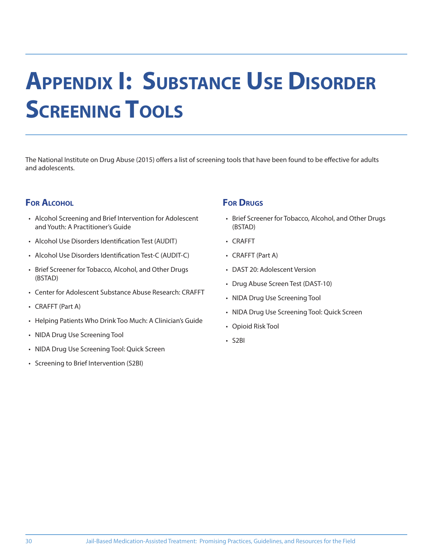# **APPENDIX I: SUBSTANCE USE DISORDER SCREENING TOOLS**

The National Institute on Drug Abuse (2015) offers a list of screening tools that have been found to be effective for adults and adolescents.

#### **FOR ALCOHOL**

- Alcohol Screening and Brief Intervention for Adolescent and Youth: A Practitioner's Guide
- Alcohol Use Disorders Identification Test (AUDIT)
- Alcohol Use Disorders Identification Test-C (AUDIT-C)
- Brief Screener for Tobacco, Alcohol, and Other Drugs (BSTAD)
- Center for Adolescent Substance Abuse Research: CRAFFT
- CRAFFT (Part A)
- Helping Patients Who Drink Too Much: A Clinician's Guide
- NIDA Drug Use Screening Tool
- NIDA Drug Use Screening Tool: Quick Screen
- Screening to Brief Intervention (S2BI)

#### **FOR DRUGS**

- Brief Screener for Tobacco, Alcohol, and Other Drugs (BSTAD)
- CRAFFT
- CRAFFT (Part A)
- DAST 20: Adolescent Version
- Drug Abuse Screen Test (DAST-10)
- NIDA Drug Use Screening Tool
- NIDA Drug Use Screening Tool: Quick Screen
- Opioid Risk Tool
- S2BI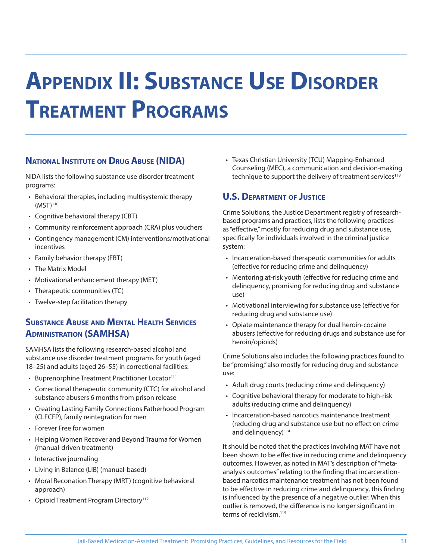# **APPENDIX II: SUBSTANCE USE DISORDER TREATMENT PROGRAMS**

#### **NATIONAL INSTITUTE ON DRUG ABUSE (NIDA)**

NIDA lists the following substance use disorder treatment programs:

- Behavioral therapies, including multisystemic therapy  $(MST)^{110}$
- Cognitive behavioral therapy (CBT)
- Community reinforcement approach (CRA) plus vouchers
- Contingency management (CM) interventions/motivational incentives
- Family behavior therapy (FBT)
- The Matrix Model
- Motivational enhancement therapy (MET)
- Therapeutic communities (TC)
- Twelve-step facilitation therapy

#### **SUBSTANCE ABUSE AND MENTAL HEALTH SERVICES ADMINISTRATION (SAMHSA)**

SAMHSA lists the following research-based alcohol and substance use disorder treatment programs for youth (aged 18–25) and adults (aged 26–55) in correctional facilities:

- Buprenorphine Treatment Practitioner Locator<sup>111</sup>
- Correctional therapeutic community (CTC) for alcohol and substance abusers 6 months from prison release
- Creating Lasting Family Connections Fatherhood Program (CLFCFP), family reintegration for men
- Forever Free for women
- Helping Women Recover and Beyond Trauma for Women (manual-driven treatment)
- Interactive journaling
- Living in Balance (LIB) (manual-based)
- Moral Reconation Therapy (MRT) (cognitive behavioral approach)
- Opioid Treatment Program Directory<sup>112</sup>

• Texas Christian University (TCU) Mapping-Enhanced Counseling (MEC), a communication and decision-making technique to support the delivery of treatment services $113$ 

#### **U.S. DEPARTMENT OF JUSTICE**

Crime Solutions, the Justice Department registry of researchbased programs and practices, lists the following practices as "effective," mostly for reducing drug and substance use, specifically for individuals involved in the criminal justice system:

- Incarceration-based therapeutic communities for adults (effective for reducing crime and delinguency)
- Mentoring at-risk youth (effective for reducing crime and delinquency, promising for reducing drug and substance use)
- Motivational interviewing for substance use (effective for reducing drug and substance use)
- Opiate maintenance therapy for dual heroin-cocaine abusers (effective for reducing drugs and substance use for heroin/opioids)

Crime Solutions also includes the following practices found to be "promising," also mostly for reducing drug and substance use:

- Adult drug courts (reducing crime and delinquency)
- Cognitive behavioral therapy for moderate to high-risk adults (reducing crime and delinquency)
- Incarceration-based narcotics maintenance treatment (reducing drug and substance use but no effect on crime and delinquency)<sup>114</sup>

It should be noted that the practices involving MAT have not been shown to be effective in reducing crime and delinquency outcomes. However, as noted in MAT's description of "metaanalysis outcomes" relating to the finding that incarcerationbased narcotics maintenance treatment has not been found to be effective in reducing crime and delinguency, this finding is influenced by the presence of a negative outlier. When this outlier is removed, the difference is no longer significant in terms of recidivism 115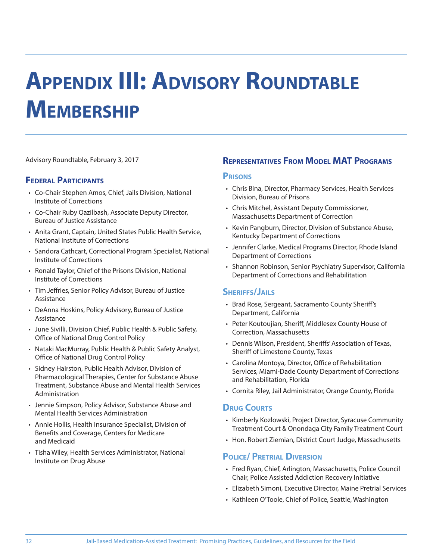# **APPENDIX III: ADVISORY ROUNDTABLE MEMBERSHIP**

Advisory Roundtable, February 3, 2017

#### **FEDERAL PARTICIPANTS**

- Co-Chair Stephen Amos, Chief, Jails Division, National Institute of Corrections
- Co-Chair Ruby Qazilbash, Associate Deputy Director, Bureau of Justice Assistance
- Anita Grant, Captain, United States Public Health Service, National Institute of Corrections
- Sandora Cathcart, Correctional Program Specialist, National Institute of Corrections
- Ronald Taylor, Chief of the Prisons Division, National Institute of Corrections
- Tim Jeffries, Senior Policy Advisor, Bureau of Justice Assistance
- DeAnna Hoskins, Policy Advisory, Bureau of Justice Assistance
- June Sivilli, Division Chief, Public Health & Public Safety, Office of National Drug Control Policy
- Nataki MacMurray, Public Health & Public Safety Analyst, Office of National Drug Control Policy
- Sidney Hairston, Public Health Advisor, Division of Pharmacological Therapies, Center for Substance Abuse Treatment, Substance Abuse and Mental Health Services Administration
- Jennie Simpson, Policy Advisor, Substance Abuse and Mental Health Services Administration
- Annie Hollis, Health Insurance Specialist, Division of Benefits and Coverage, Centers for Medicare and Medicaid
- Tisha Wiley, Health Services Administrator, National Institute on Drug Abuse

#### **REPRESENTATIVES FROM MODEL MAT PROGRAMS**

#### **PRISONS**

- Chris Bina, Director, Pharmacy Services, Health Services Division, Bureau of Prisons
- Chris Mitchel, Assistant Deputy Commissioner, Massachusetts Department of Correction
- Kevin Pangburn, Director, Division of Substance Abuse, Kentucky Department of Corrections
- Jennifer Clarke, Medical Programs Director, Rhode Island Department of Corrections
- Shannon Robinson, Senior Psychiatry Supervisor, California Department of Corrections and Rehabilitation

#### **SHERIFFS/JAILS**

- Brad Rose, Sergeant, Sacramento County Sheriff 's Department, California
- Peter Koutoujian, Sheriff, Middlesex County House of Correction, Massachusetts
- Dennis Wilson, President, Sheriffs' Association of Texas, Sheriff of Limestone County, Texas
- Carolina Montoya, Director, Office of Rehabilitation Services, Miami-Dade County Department of Corrections and Rehabilitation, Florida
- Cornita Riley, Jail Administrator, Orange County, Florida

#### **DRUG COURTS**

- Kimberly Kozlowski, Project Director, Syracuse Community Treatment Court & Onondaga City Family Treatment Court
- Hon. Robert Ziemian, District Court Judge, Massachusetts

#### **POLICE/ PRETRIAL DIVERSION**

- Fred Ryan, Chief, Arlington, Massachusetts, Police Council Chair, Police Assisted Addiction Recovery Initiative
- Elizabeth Simoni, Executive Director, Maine Pretrial Services
- Kathleen O'Toole, Chief of Police, Seattle, Washington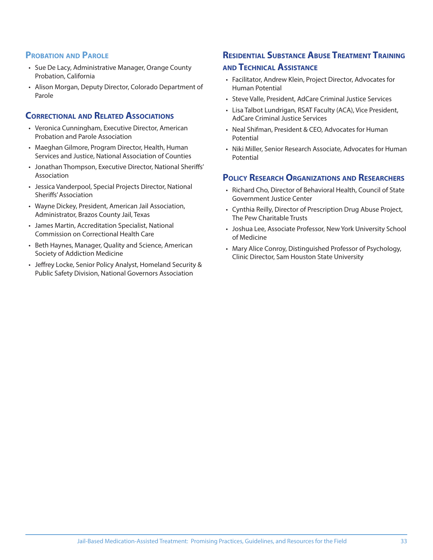#### **PROBATION AND PAROLE**

- Sue De Lacy, Administrative Manager, Orange County Probation, California
- Alison Morgan, Deputy Director, Colorado Department of Parole

#### **CORRECTIONAL AND RELATED ASSOCIATIONS**

- Veronica Cunningham, Executive Director, American Probation and Parole Association
- Maeghan Gilmore, Program Director, Health, Human Services and Justice, National Association of Counties
- Jonathan Thompson, Executive Director, National Sheriffs' Association
- Jessica Vanderpool, Special Projects Director, National Sheriffs' Association
- Wayne Dickey, President, American Jail Association, Administrator, Brazos County Jail, Texas
- James Martin, Accreditation Specialist, National Commission on Correctional Health Care
- Beth Haynes, Manager, Quality and Science, American Society of Addiction Medicine
- Jeffrey Locke, Senior Policy Analyst, Homeland Security & Public Safety Division, National Governors Association

#### **RESIDENTIAL SUBSTANCE ABUSE TREATMENT TRAINING AND TECHNICAL ASSISTANCE**

- Facilitator, Andrew Klein, Project Director, Advocates for Human Potential
- Steve Valle, President, AdCare Criminal Justice Services
- Lisa Talbot Lundrigan, RSAT Faculty (ACA), Vice President, AdCare Criminal Justice Services
- Neal Shifman, President & CEO, Advocates for Human Potential
- Niki Miller, Senior Research Associate, Advocates for Human Potential

#### **POLICY RESEARCH ORGANIZATIONS AND RESEARCHERS**

- Richard Cho, Director of Behavioral Health, Council of State Government Justice Center
- Cynthia Reilly, Director of Prescription Drug Abuse Project, The Pew Charitable Trusts
- Joshua Lee, Associate Professor, New York University School of Medicine
- Mary Alice Conroy, Distinguished Professor of Psychology, Clinic Director, Sam Houston State University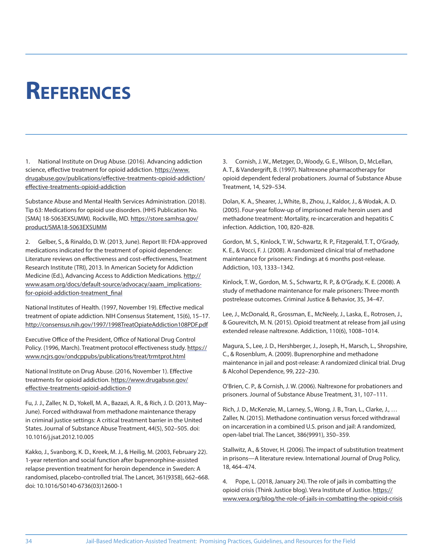## **REFERENCES**

1. National Institute on Drug Abuse. (2016). Advancing addiction science, effective treatment for opioid addiction. https://www. drugabuse.gov/publications/effective-treatments-opioid-addiction/ effective-treatments-opioid-addiction

Substance Abuse and Mental Health Services Administration. (2018). Tip 63: Medications for opioid use disorders. (HHS Publication No. [SMA] 18-5063EXSUMM). Rockville, MD. https://store.samhsa.gov/ product/SMA18-5063EXSUMM

2. Gelber, S., & Rinaldo, D. W. (2013, June). Report III: FDA-approved medications indicated for the treatment of opioid dependence: Literature reviews on effectiveness and cost-effectiveness, Treatment Research Institute (TRI), 2013. In American Society for Addiction Medicine (Ed.), Advancing Access to Addiction Medications. http:// www.asam.org/docs/default-source/advocacy/aaam\_implicationsfor-opioid-addiction-treatment\_final

National Institutes of Health. (1997, November 19). Effective medical treatment of opiate addiction. NIH Consensus Statement, 15(6), 15–17. http://consensus.nih.gov/1997/1998TreatOpiateAddiction108PDF.pdf

Executive Office of the President, Office of National Drug Control Policy. (1996, March). Treatment protocol effectiveness study. https:// www.ncjrs.gov/ondcppubs/publications/treat/trmtprot.html

National Institute on Drug Abuse. (2016, November 1). Effective treatments for opioid addiction. https://www.drugabuse.gov/ effective-treatments-opioid-addiction-0

Fu, J. J., Zaller, N. D., Yokell, M. A., Bazazi, A. R., & Rich, J. D. (2013, May– June). Forced withdrawal from methadone maintenance therapy in criminal justice settings: A critical treatment barrier in the United States. Journal of Substance Abuse Treatment, 44(5), 502–505. doi: 10.1016/j.jsat.2012.10.005

Kakko, J., Svanborg, K. D., Kreek, M. J., & Heilig, M. (2003, February 22). 1-year retention and social function after buprenorphine-assisted relapse prevention treatment for heroin dependence in Sweden: A randomised, placebo-controlled trial. The Lancet, 361(9358), 662–668. doi: 10.1016/S0140-6736(03)12600-1

3. Cornish, J. W., Metzger, D., Woody, G. E., Wilson, D., McLellan, A. T., & Vandergrift, B. (1997). Naltrexone pharmacotherapy for opioid dependent federal probationers. Journal of Substance Abuse Treatment, 14, 529–534.

Dolan, K. A., Shearer, J., White, B., Zhou, J., Kaldor, J., & Wodak, A. D. (2005). Four‐year follow‐up of imprisoned male heroin users and methadone treatment: Mortality, re‐incarceration and hepatitis C infection. Addiction, 100, 820–828.

Gordon, M. S., Kinlock, T. W., Schwartz, R. P., Fitzgerald, T. T., O'Grady, K. E., & Vocci, F. J. (2008). A randomized clinical trial of methadone maintenance for prisoners: Findings at 6 months post-release. Addiction, 103, 1333–1342.

Kinlock, T. W., Gordon, M. S., Schwartz, R. P., & O'Grady, K. E. (2008). A study of methadone maintenance for male prisoners: Three‐month postrelease outcomes. Criminal Justice & Behavior, 35, 34–47.

Lee, J., McDonald, R., Grossman, E., McNeely, J., Laska, E., Rotrosen, J., & Gourevitch, M. N. (2015). Opioid treatment at release from jail using extended release naltrexone. Addiction, 110(6), 1008–1014.

Magura, S., Lee, J. D., Hershberger, J., Joseph, H., Marsch, L., Shropshire, C., & Rosenblum, A. (2009). Buprenorphine and methadone maintenance in jail and post‐release: A randomized clinical trial. Drug & Alcohol Dependence, 99, 222–230.

O'Brien, C. P., & Cornish, J. W. (2006). Naltrexone for probationers and prisoners. Journal of Substance Abuse Treatment, 31, 107–111.

Rich, J. D., McKenzie, M., Larney, S., Wong, J. B., Tran, L., Clarke, J., … Zaller, N. (2015). Methadone continuation versus forced withdrawal on incarceration in a combined U.S. prison and jail: A randomized, open-label trial. The Lancet, 386(9991), 350–359.

Stallwitz, A., & Stover, H. (2006). The impact of substitution treatment in prisons—A literature review. International Journal of Drug Policy, 18, 464–474.

4. Pope, L. (2018, January 24). The role of jails in combatting the opioid crisis (Think Justice blog). Vera Institute of Justice. https:// www.vera.org/blog/the-role-of-jails-in-combatting-the-opioid-crisis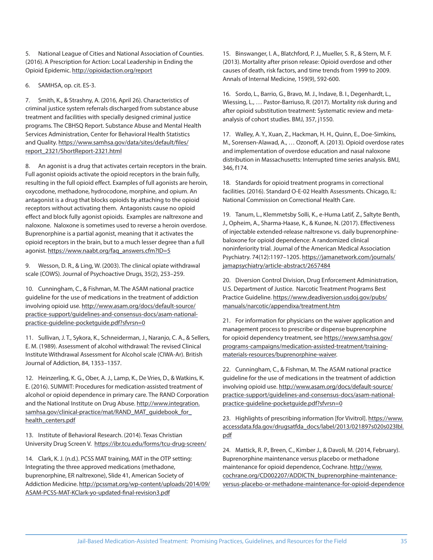5. National League of Cities and National Association of Counties. (2016). A Prescription for Action: Local Leadership in Ending the Opioid Epidemic. http://opioidaction.org/report

6. SAMHSA, op. cit. ES-3.

7. Smith, K., & Strashny, A. (2016, April 26). Characteristics of criminal justice system referrals discharged from substance abuse treatment and facilities with specially designed criminal justice programs. The CBHSQ Report. Substance Abuse and Mental Health Services Administration, Center for Behavioral Health Statistics and Quality. https://www.samhsa.gov/data/sites/default/files/ report\_2321/ShortReport-2321.html

An agonist is a drug that activates certain receptors in the brain. Full agonist opioids activate the opioid receptors in the brain fully, resulting in the full opioid effect. Examples of full agonists are heroin, oxycodone, methadone, hydrocodone, morphine, and opium. An antagonist is a drug that blocks opioids by attaching to the opioid receptors without activating them. Antagonists cause no opioid effect and block fully agonist opioids. Examples are naltrexone and naloxone. Naloxone is sometimes used to reverse a heroin overdose. Buprenorphine is a partial agonist, meaning that it activates the opioid receptors in the brain, but to a much lesser degree than a full agonist. https://www.naabt.org/faq\_answers.cfm?ID=5

9. Wesson, D. R., & Ling, W. (2003). The clinical opiate withdrawal scale (COWS). Journal of Psychoactive Drugs, 35(2), 253–259.

10. Cunningham, C., & Fishman, M. The ASAM national practice guideline for the use of medications in the treatment of addiction involving opioid use. http://www.asam.org/docs/default-source/ practice-support/guidelines-and-consensus-docs/asam-nationalpractice-guideline-pocketguide.pdf?sfvrsn=0

11. Sullivan, J. T., Sykora, K., Schneiderman, J., Naranjo, C. A., & Sellers, E. M. (1989). Assessment of alcohol withdrawal: The revised Clinical Institute Withdrawal Assessment for Alcohol scale (CIWA-Ar). British Journal of Addiction, 84, 1353–1357.

12. Heinzerling, K. G., Ober, A. J., Lamp, K., De Vries, D., & Watkins, K. E. (2016). SUMMIT: Procedures for medication-assisted treatment of alcohol or opioid dependence in primary care. The RAND Corporation and the National Institute on Drug Abuse. http://www.integration. samhsa.gov/clinical-practice/mat/RAND\_MAT\_guidebook\_for\_ health\_centers.pdf

13. Institute of Behavioral Research. (2014). Texas Christian University Drug Screen V. https://ibr.tcu.edu/forms/tcu-drug-screen/

14. Clark, K. J. (n.d.). PCSS MAT training, MAT in the OTP setting: Integrating the three approved medications (methadone, buprenorphine, ER naltrexone), Slide 41, American Society of Addiction Medicine. http://pcssmat.org/wp-content/uploads/2014/09/ ASAM-PCSS-MAT-KClark-yo-updated-final-revision3.pdf

15. Binswanger, I. A., Blatchford, P. J., Mueller, S. R., & Stern, M. F. (2013). Mortality after prison release: Opioid overdose and other causes of death, risk factors, and time trends from 1999 to 2009. Annals of Internal Medicine, 159(9), 592-600.

16. Sordo, L., Barrio, G., Bravo, M. J., Indave, B. I., Degenhardt, L., Wiessing, L., … Pastor-Barriuso, R. (2017). Mortality risk during and after opioid substitution treatment: Systematic review and metaanalysis of cohort studies. BMJ, 357, j1550.

17. Walley, A. Y., Xuan, Z., Hackman, H. H., Quinn, E., Doe-Simkins, M., Sorensen-Alawad, A., ... Ozonoff, A. (2013). Opioid overdose rates and implementation of overdose education and nasal naloxone distribution in Massachusetts: Interrupted time series analysis. BMJ, 346, f174.

18. Standards for opioid treatment programs in correctional facilities. (2016). Standard O-E-02 Health Assessments. Chicago, IL: National Commission on Correctional Health Care.

19. Tanum, L., Klemmetsby Solli, K., e-Huma Latif, Z., Saltyte Benth, J., Opheim, A., Sharma-Haase, K., & Kunøe, N. (2017). Effectiveness of injectable extended-release naltrexone vs. daily buprenorphinebaloxone for opioid dependence: A randomized clinical noninferiority trial. Journal of the American Medical Association Psychiatry. 74(12):1197-1205. https://jamanetwork.com/journals/ jamapsychiatry/article-abstract/2657484

20. Diversion Control Division, Drug Enforcement Administration, U.S. Department of Justice. Narcotic Treatment Programs Best Practice Guideline. https://www.deadiversion.usdoj.gov/pubs/ manuals/narcotic/appendixa/treatment.htm

21. For information for physicians on the waiver application and management process to prescribe or dispense buprenorphine for opioid dependency treatment, see https://www.samhsa.gov/ programs-campaigns/medication-assisted-treatment/trainingmaterials-resources/buprenorphine-waiver.

22. Cunningham, C., & Fishman, M. The ASAM national practice guideline for the use of medications in the treatment of addiction involving opioid use. http://www.asam.org/docs/default-source/ practice-support/guidelines-and-consensus-docs/asam-nationalpractice-guideline-pocketguide.pdf?sfvrsn=0

23. Highlights of prescribing information [for Vivitrol]. https://www. accessdata.fda.gov/drugsatfda\_docs/label/2013/021897s020s023lbl. pdf

24. Mattick, R. P., Breen, C., Kimber J., & Davoli, M. (2014, February). Buprenorphine maintenance versus placebo or methadone maintenance for opioid dependence, Cochrane. http://www. cochrane.org/CD002207/ADDICTN\_buprenorphine-maintenanceversus-placebo-or-methadone-maintenance-for-opioid-dependence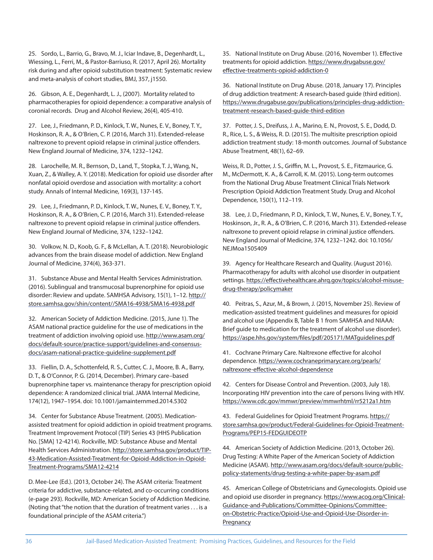25. Sordo, L., Barrio, G., Bravo, M. J., Iciar Indave, B., Degenhardt, L., Wiessing, L., Ferri, M., & Pastor-Barriuso, R. (2017, April 26). Mortality risk during and after opioid substitution treatment: Systematic review and meta-analysis of cohort studies, BMJ, 357, j1550.

26. Gibson, A. E., Degenhardt, L. J., (2007). Mortality related to pharmacotherapies for opioid dependence: a comparative analysis of coronial records. Drug and Alcohol Review, 26(4), 405-410.

27. Lee, J., Friedmann, P. D., Kinlock, T. W., Nunes, E. V., Boney, T. Y., Hoskinson, R. A., & O'Brien, C. P. (2016, March 31). Extended-release naltrexone to prevent opioid relapse in criminal justice offenders. New England Journal of Medicine, 374, 1232–1242.

28. Larochelle, M. R., Bernson, D., Land, T., Stopka, T. J., Wang, N., Xuan, Z., & Walley, A. Y. (2018). Medication for opioid use disorder after nonfatal opioid overdose and association with mortality: a cohort study. Annals of Internal Medicine, 169(3), 137-145.

29. Lee, J., Friedmann, P. D., Kinlock, T. W., Nunes, E. V., Boney, T. Y., Hoskinson, R. A., & O'Brien, C. P. (2016, March 31). Extended-release naltrexone to prevent opioid relapse in criminal justice offenders. New England Journal of Medicine, 374, 1232–1242.

30. Volkow, N. D., Koob, G. F., & McLellan, A. T. (2018). Neurobiologic advances from the brain disease model of addiction. New England Journal of Medicine, 374(4), 363-371.

31. Substance Abuse and Mental Health Services Administration. (2016). Sublingual and transmucosal buprenorphine for opioid use disorder: Review and update. SAMHSA Advisory, 15(1), 1-12. http:// store.samhsa.gov/shin/content//SMA16-4938/SMA16-4938.pdf

32. American Society of Addiction Medicine. (2015, June 1). The ASAM national practice guideline for the use of medications in the treatment of addiction involving opioid use. http://www.asam.org/ docs/default-source/practice-support/guidelines-and-consensusdocs/asam-national-practice-guideline-supplement.pdf

33. Fiellin, D. A., Schottenfeld, R. S., Cutter, C. J., Moore, B. A., Barry, D. T., & O'Connor, P. G. (2014, December). Primary care–based buprenorphine taper vs. maintenance therapy for prescription opioid dependence: A randomized clinical trial. JAMA Internal Medicine, 174(12), 1947–1954. doi: 10.1001/jamainternmed.2014.5302

34. Center for Substance Abuse Treatment. (2005). Medicationassisted treatment for opioid addiction in opioid treatment programs. Treatment Improvement Protocol (TIP) Series 43 (HHS Publication No. [SMA] 12-4214). Rockville, MD: Substance Abuse and Mental Health Services Administration. http://store.samhsa.gov/product/TIP-43-Medication-Assisted-Treatment-for-Opioid-Addiction-in-Opioid-Treatment-Programs/SMA12-4214

D. Mee-Lee (Ed.). (2013, October 24). The ASAM criteria: Treatment criteria for addictive, substance-related, and co-occurring conditions (e-page 293). Rockville, MD: American Society of Addiction Medicine. (Noting that "the notion that the duration of treatment varies . . . is a foundational principle of the ASAM criteria.")

35. National Institute on Drug Abuse. (2016, November 1). Effective treatments for opioid addiction. https://www.drugabuse.gov/ effective-treatments-opioid-addiction-0

36. National Institute on Drug Abuse. (2018, January 17). Principles of drug addiction treatment: A research-based guide (third edition). https://www.drugabuse.gov/publications/principles-drug-addictiontreatment-research-based-guide-third-edition

37. Potter, J. S., Dreifuss, J. A., Marino, E. N., Provost, S. E., Dodd, D. R., Rice, L. S., & Weiss, R. D. (2015). The multisite prescription opioid addiction treatment study: 18-month outcomes. Journal of Substance Abuse Treatment, 48(1), 62–69.

Weiss, R. D., Potter, J. S., Griffin, M. L., Provost, S. E., Fitzmaurice, G. M., McDermott, K. A., & Carroll, K. M. (2015). Long-term outcomes from the National Drug Abuse Treatment Clinical Trials Network Prescription Opioid Addiction Treatment Study. Drug and Alcohol Dependence, 150(1), 112–119.

38. Lee, J. D., Friedmann, P. D., Kinlock, T. W., Nunes, E. V., Boney, T. Y., Hoskinson, Jr., R. A., & O'Brien, C. P. (2016, March 31). Extended-release naltrexone to prevent opioid relapse in criminal justice offenders. New England Journal of Medicine, 374, 1232–1242. doi: 10.1056/ NEJMoa1505409

39. Agency for Healthcare Research and Quality. (August 2016). Pharmacotherapy for adults with alcohol use disorder in outpatient settings. https://effectivehealthcare.ahrq.gov/topics/alcohol-misusedrug-therapy/policymaker

40. Peitras, S., Azur, M., & Brown, J. (2015, November 25). Review of medication-assisted treatment guidelines and measures for opioid and alcohol use (Appendix B, Table B 1 from SAMHSA and NIAAA: Brief guide to medication for the treatment of alcohol use disorder). https://aspe.hhs.gov/system/files/pdf/205171/MATguidelines.pdf

41. Cochrane Primary Care. Naltrexone effective for alcohol dependence. https://www.cochraneprimarycare.org/pearls/ naltrexone-effective-alcohol-dependence

42. Centers for Disease Control and Prevention. (2003, July 18). Incorporating HIV prevention into the care of persons living with HIV. https://www.cdc.gov/mmwr/preview/mmwrhtml/rr5212a1.htm

43. Federal Guidelines for Opioid Treatment Programs. https:// store.samhsa.gov/product/Federal-Guidelines-for-Opioid-Treatment-Programs/PEP15-FEDGUIDEOTP

44. American Society of Addiction Medicine. (2013, October 26). Drug Testing: A White Paper of the American Society of Addiction Medicine (ASAM). http://www.asam.org/docs/default-source/publicpolicy-statements/drug-testing-a-white-paper-by-asam.pdf

45. American College of Obstetricians and Gynecologists. Opioid use and opioid use disorder in pregnancy. https://www.acog.org/Clinical-Guidance-and-Publications/Committee-Opinions/Committeeon-Obstetric-Practice/Opioid-Use-and-Opioid-Use-Disorder-in-**Pregnancy**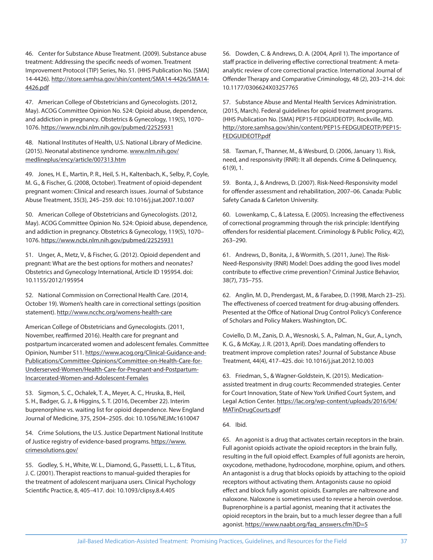46. Center for Substance Abuse Treatment. (2009). Substance abuse treatment: Addressing the specific needs of women. Treatment Improvement Protocol (TIP) Series, No. 51. (HHS Publication No. [SMA] 14-4426). http://store.samhsa.gov/shin/content/SMA14-4426/SMA14- 4426.pdf

47. American College of Obstetricians and Gynecologists. (2012, May). ACOG Committee Opinion No. 524: Opioid abuse, dependence, and addiction in pregnancy. Obstetrics & Gynecology, 119(5), 1070– 1076. https://www.ncbi.nlm.nih.gov/pubmed/22525931

48. National Institutes of Health, U.S. National Library of Medicine. (2015). Neonatal abstinence syndrome. www.nlm.nih.gov/ medlineplus/ency/article/007313.htm

49. Jones, H. E., Martin, P. R., Heil, S. H., Kaltenbach, K., Selby, P., Coyle, M. G., & Fischer, G. (2008, October). Treatment of opioid-dependent pregnant women: Clinical and research issues. Journal of Substance Abuse Treatment, 35(3), 245–259. doi: 10.1016/j.jsat.2007.10.007

50. American College of Obstetricians and Gynecologists. (2012, May). ACOG Committee Opinion No. 524: Opioid abuse, dependence, and addiction in pregnancy. Obstetrics & Gynecology, 119(5), 1070– 1076. https://www.ncbi.nlm.nih.gov/pubmed/22525931

51. Unger, A., Metz, V., & Fischer, G. (2012). Opioid dependent and pregnant: What are the best options for mothers and neonates? Obstetrics and Gynecology International, Article ID 195954. doi: 10.1155/2012/195954

52. National Commission on Correctional Health Care. (2014, October 19). Women's health care in correctional settings (position statement). http://www.ncchc.org/womens-health-care

American College of Obstetricians and Gynecologists. (2011, November, reaffirmed 2016). Health care for pregnant and postpartum incarcerated women and adolescent females. Committee Opinion, Number 511. https://www.acog.org/Clinical-Guidance-and-Publications/Committee-Opinions/Committee-on-Health-Care-for-Underserved-Women/Health-Care-for-Pregnant-and-Postpartum-Incarcerated-Women-and-Adolescent-Females

53. Sigmon, S. C., Ochalek, T. A., Meyer, A. C., Hruska, B., Heil, S. H., Badger, G. J., & Higgins, S. T. (2016, December 22). Interim buprenorphine vs. waiting list for opioid dependence. New England Journal of Medicine, 375, 2504–2505. doi: 10.1056/NEJMc1610047

54. Crime Solutions, the U.S. Justice Department National Institute of Justice registry of evidence-based programs. https://www. crimesolutions.gov/

55. Godley, S. H., White, W. L., Diamond, G., Passetti, L. L., & Titus, J. C. (2001). Therapist reactions to manual-guided therapies for the treatment of adolescent marijuana users. Clinical Psychology Scientific Practice, 8, 405-417. doi: 10.1093/clipsy.8.4.405

56. Dowden, C. & Andrews, D. A. (2004, April 1). The importance of staff practice in delivering effective correctional treatment: A metaanalytic review of core correctional practice. International Journal of Offender Therapy and Comparative Criminology, 48 (2), 203-214. doi: 10.1177/0306624X03257765

57. Substance Abuse and Mental Health Services Administration. (2015, March). Federal guidelines for opioid treatment programs. (HHS Publication No. [SMA] PEP15-FEDGUIDEOTP). Rockville, MD. http://store.samhsa.gov/shin/content/PEP15-FEDGUIDEOTP/PEP15- FEDGUIDEOTP.pdf

58. Taxman, F., Thanner, M., & Wesburd, D. (2006, January 1). Risk, need, and responsivity (RNR): It all depends. Crime & Delinquency, 61(9), 1.

59. Bonta, J., & Andrews, D. (2007). Risk-Need-Responsivity model for offender assessment and rehabilitation, 2007-06. Canada: Public Safety Canada & Carleton University.

60. Lowenkamp, C., & Latessa, E. (2005). Increasing the effectiveness of correctional programming through the risk principle: Identifying offenders for residential placement. Criminology & Public Policy, 4(2), 263–290.

61. Andrews, D., Bonita, J., & Wormith, S. (2011, June). The Risk-Need-Responsivity (RNR) Model: Does adding the good lives model contribute to effective crime prevention? Criminal Justice Behavior, 38(7), 735–755.

62. Anglin, M. D., Prendergast, M., & Farabee, D. (1998, March 23–25). The effectiveness of coerced treatment for drug-abusing offenders. Presented at the Office of National Drug Control Policy's Conference of Scholars and Policy Makers. Washington, DC.

Coviello, D. M., Zanis, D. A., Wesnoski, S. A., Palman, N., Gur, A., Lynch, K. G., & McKay, J. R. (2013, April). Does mandating offenders to treatment improve completion rates? Journal of Substance Abuse Treatment, 44(4), 417–425. doi: 10.1016/j.jsat.2012.10.003

63. Friedman, S., & Wagner-Goldstein, K. (2015). Medicationassisted treatment in drug courts: Recommended strategies. Center for Court Innovation, State of New York Unified Court System, and Legal Action Center. https://lac.org/wp-content/uploads/2016/04/ MATinDrugCourts.pdf

64. Ibid.

65. An agonist is a drug that activates certain receptors in the brain. Full agonist opioids activate the opioid receptors in the brain fully, resulting in the full opioid effect. Examples of full agonists are heroin, oxycodone, methadone, hydrocodone, morphine, opium, and others. An antagonist is a drug that blocks opioids by attaching to the opioid receptors without activating them. Antagonists cause no opioid effect and block fully agonist opioids. Examples are naltrexone and naloxone. Naloxone is sometimes used to reverse a heroin overdose. Buprenorphine is a partial agonist, meaning that it activates the opioid receptors in the brain, but to a much lesser degree than a full agonist. https://www.naabt.org/faq\_answers.cfm?ID=5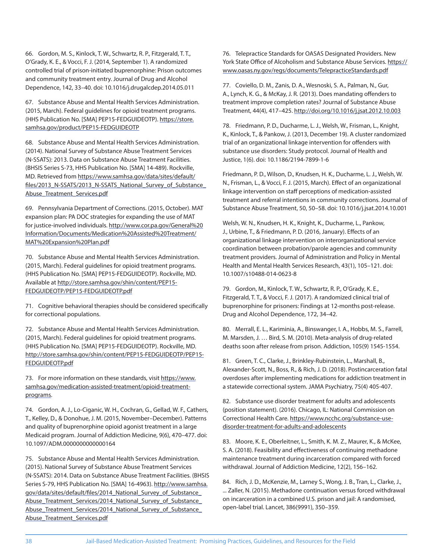66. Gordon, M. S., Kinlock, T. W., Schwartz, R. P., Fitzgerald, T. T., O'Grady, K. E., & Vocci, F. J. (2014, September 1). A randomized controlled trial of prison-initiated buprenorphine: Prison outcomes and community treatment entry. Journal of Drug and Alcohol Dependence, 142, 33–40. doi: 10.1016/j.drugalcdep.2014.05.011

67. Substance Abuse and Mental Health Services Administration. (2015, March). Federal guidelines for opioid treatment programs. (HHS Publication No. [SMA] PEP15-FEDGUIDEOTP). https://store. samhsa.gov/product/PEP15-FEDGUIDEOTP

68. Substance Abuse and Mental Health Services Administration. (2014). National Survey of Substance Abuse Treatment Services (N-SSATS): 2013. Data on Substance Abuse Treatment Facilities. (BHSIS Series S-73, HHS Publication No. [SMA] 14-489). Rockville, MD. Retrieved from https://www.samhsa.gov/data/sites/default/ files/2013\_N-SSATS/2013\_N-SSATS\_National\_Survey\_of\_Substance Abuse\_Treatment\_Services.pdf

69. Pennsylvania Department of Corrections. (2015, October). MAT expansion plan: PA DOC strategies for expanding the use of MAT for justice-involved individuals. http://www.cor.pa.gov/General%20 Information/Documents/Medication%20Assisted%20Treatment/ MAT%20Expansion%20Plan.pdf

70. Substance Abuse and Mental Health Services Administration. (2015, March). Federal guidelines for opioid treatment programs. (HHS Publication No. [SMA] PEP15-FEDGUIDEOTP). Rockville, MD. Available at http://store.samhsa.gov/shin/content/PEP15- FEDGUIDEOTP/PEP15-FEDGUIDEOTP.pdf

71. Cognitive behavioral therapies should be considered specifically for correctional populations.

72. Substance Abuse and Mental Health Services Administration. (2015, March). Federal guidelines for opioid treatment programs. (HHS Publication No. [SMA] PEP15-FEDGUIDEOTP). Rockville, MD. http://store.samhsa.gov/shin/content/PEP15-FEDGUIDEOTP/PEP15- FEDGUIDEOTP.pdf

73. For more information on these standards, visit https://www. samhsa.gov/medication-assisted-treatment/opioid-treatmentprograms.

74. Gordon, A. J., Lo-Ciganic, W. H., Cochran, G., Gellad, W. F., Cathers, T., Kelley, D., & Donohue, J. M. (2015, November–December). Patterns and quality of buprenorphine opioid agonist treatment in a large Medicaid program. Journal of Addiction Medicine, 9(6), 470–477. doi: 10.1097/ADM.0000000000000164

75. Substance Abuse and Mental Health Services Administration. (2015). National Survey of Substance Abuse Treatment Services (N-SSATS): 2014. Data on Substance Abuse Treatment Facilities. (BHSIS Series S-79, HHS Publication No. [SMA] 16-4963). http://www.samhsa. gov/data/sites/default/files/2014 National Survey of Substance Abuse\_Treatment\_Services/2014\_National\_Survey\_of\_Substance\_ Abuse\_Treatment\_Services/2014\_National\_Survey\_of\_Substance\_ Abuse\_Treatment\_Services.pdf

76. Telepractice Standards for OASAS Designated Providers. New York State Office of Alcoholism and Substance Abuse Services. https:// www.oasas.ny.gov/regs/documents/TelepracticeStandards.pdf

77. Coviello, D. M., Zanis, D. A., Wesnoski, S. A., Palman, N., Gur, A., Lynch, K. G., & McKay, J. R. (2013). Does mandating offenders to treatment improve completion rates? Journal of Substance Abuse Treatment, 44(4), 417–425. http://doi.org/10.1016/j.jsat.2012.10.003

78. Friedmann, P. D., Ducharme, L. J., Welsh, W., Frisman, L., Knight, K., Kinlock, T., & Pankow, J. (2013, December 19). A cluster randomized trial of an organizational linkage intervention for offenders with substance use disorders: Study protocol. Journal of Health and Justice, 1(6). doi: 10.1186/2194-7899-1-6

Friedmann, P. D., Wilson, D., Knudsen, H. K., Ducharme, L. J., Welsh, W. N., Frisman, L., & Vocci, F. J. (2015, March). Effect of an organizational linkage intervention on staff perceptions of medication-assisted treatment and referral intentions in community corrections. Journal of Substance Abuse Treatment, 50, 50–58. doi: 10.1016/j.jsat.2014.10.001

Welsh, W. N., Knudsen, H. K., Knight, K., Ducharme, L., Pankow, J., Urbine, T., & Friedmann, P.D. (2016, January). Effects of an organizational linkage intervention on interorganizational service coordination between probation/parole agencies and community treatment providers. Journal of Administration and Policy in Mental Health and Mental Health Services Research, 43(1), 105–121. doi: 10.1007/s10488-014-0623-8

79. Gordon, M., Kinlock, T. W., Schwartz, R. P., O'Grady, K. E., Fitzgerald, T. T., & Vocci, F. J. (2017). A randomized clinical trial of buprenorphine for prisoners: Findings at 12-months post-release. Drug and Alcohol Dependence, 172, 34–42.

80. Merrall, E. L., Kariminia, A., Binswanger, I. A., Hobbs, M. S., Farrell, M. Marsden, J. … Bird, S. M. (2010). Meta-analysis of drug-related deaths soon after release from prison. Addiction, 105(9) 1545-1554.

81. Green, T. C., Clarke, J., Brinkley-Rubinstein, L., Marshall, B., Alexander-Scott, N., Boss, R., & Rich, J. D. (2018). Postincarceration fatal overdoses after implementing medications for addiction treatment in a statewide correctional system. JAMA Psychiatry, 75(4) 405-407.

82. Substance use disorder treatment for adults and adolescents (position statement). (2016). Chicago, IL: National Commission on Correctional Health Care. https://www.ncchc.org/substance-usedisorder-treatment-for-adults-and-adolescents

83. Moore, K. E., Oberleitner, L., Smith, K. M. Z., Maurer, K., & McKee, S. A. (2018). Feasibility and effectiveness of continuing methadone maintenance treatment during incarceration compared with forced withdrawal. Journal of Addiction Medicine, 12(2), 156–162.

84. Rich, J. D., McKenzie, M., Larney S., Wong, J. B., Tran, L., Clarke, J., ... Zaller, N. (2015). Methadone continuation versus forced withdrawal on incarceration in a combined U.S. prison and jail: A randomised, open-label trial. Lancet, 386(9991), 350–359.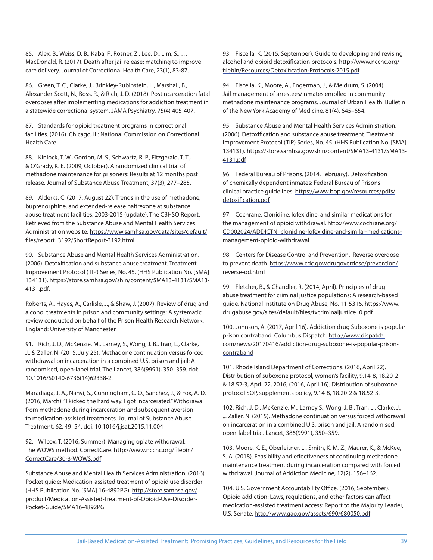85. Alex, B., Weiss, D. B., Kaba, F., Rosner, Z., Lee, D., Lim, S., … MacDonald, R. (2017). Death after jail release: matching to improve care delivery. Journal of Correctional Health Care, 23(1), 83-87.

86. Green, T. C., Clarke, J., Brinkley-Rubinstein, L., Marshall, B., Alexander-Scott, N., Boss, R., & Rich, J. D. (2018). Postincarceration fatal overdoses after implementing medications for addiction treatment in a statewide correctional system. JAMA Psychiatry, 75(4) 405-407.

87. Standards for opioid treatment programs in correctional facilities. (2016). Chicago, IL: National Commission on Correctional Health Care.

88. Kinlock, T. W., Gordon, M. S., Schwartz, R. P., Fitzgerald, T. T., & O'Grady, K. E. (2009, October). A randomized clinical trial of methadone maintenance for prisoners: Results at 12 months post release. Journal of Substance Abuse Treatment, 37(3), 277–285.

89. Alderks, C. (2017, August 22). Trends in the use of methadone, buprenorphine, and extended-release naltrexone at substance abuse treatment facilities: 2003-2015 (update). The CBHSQ Report. Retrieved from the Substance Abuse and Mental Health Services Administration website: https://www.samhsa.gov/data/sites/default/ files/report\_3192/ShortReport-3192.html

90. Substance Abuse and Mental Health Services Administration. (2006). Detoxification and substance abuse treatment. Treatment Improvement Protocol (TIP) Series, No. 45. (HHS Publication No. [SMA] 13 4131). https://store.samhsa.gov/shin/content/SMA13-4131/SMA13- 4131.pdf.

Roberts, A., Hayes, A., Carlisle, J., & Shaw, J. (2007). Review of drug and alcohol treatments in prison and community settings: A systematic review conducted on behalf of the Prison Health Research Network. England: University of Manchester.

91. Rich, J. D., McKenzie, M., Larney, S., Wong, J. B., Tran, L., Clarke, J., & Zaller, N. (2015, July 25). Methadone continuation versus forced withdrawal on incarceration in a combined U.S. prison and jail: A randomised, open-label trial. The Lancet, 386(9991), 350–359. doi: 10.1016/S0140-6736(14)62338-2.

Maradiaga, J. A., Nahvi, S., Cunningham, C. O., Sanchez, J., & Fox, A. D. (2016, March). "I kicked the hard way. I got incarcerated." Withdrawal from methadone during incarceration and subsequent aversion to medication-assisted treatments. Journal of Substance Abuse Treatment, 62, 49–54. doi: 10.1016/j.jsat.2015.11.004

92. Wilcox, T. (2016, Summer). Managing opiate withdrawal: The WOWS method. CorrectCare. http://www.ncchc.org/filebin/ CorrectCare/30-3-WOWS.pdf

Substance Abuse and Mental Health Services Administration. (2016). Pocket guide: Medication-assisted treatment of opioid use disorder (HHS Publication No. [SMA] 16-4892PG). http://store.samhsa.gov/ product/Medication-Assisted-Treatment-of-Opioid-Use-Disorder-Pocket-Guide/SMA16-4892PG

93. Fiscella, K. (2015, September). Guide to developing and revising alcohol and opioid detoxification protocols. http://www.ncchc.org/ filebin/Resources/Detoxification-Protocols-2015.pdf

94. Fiscella, K., Moore, A., Engerman, J., & Meldrum, S. (2004). Jail management of arrestees/inmates enrolled in community methadone maintenance programs. Journal of Urban Health: Bulletin of the New York Academy of Medicine, 81(4), 645–654.

95. Substance Abuse and Mental Health Services Administration. (2006). Detoxification and substance abuse treatment. Treatment Improvement Protocol (TIP) Series, No. 45. (HHS Publication No. [SMA] 13 4131). https://store.samhsa.gov/shin/content/SMA13-4131/SMA13- 4131.pdf

96. Federal Bureau of Prisons. (2014, February). Detoxification of chemically dependent inmates: Federal Bureau of Prisons clinical practice guidelines. https://www.bop.gov/resources/pdfs/ detoxification.pdf

97. Cochrane. Clonidine, lofexidine, and similar medications for the management of opioid withdrawal. http://www.cochrane.org/ CD002024/ADDICTN\_clonidine-lofexidine-and-similar-medicationsmanagement-opioid-withdrawal

98. Centers for Disease Control and Prevention. Reverse overdose to prevent death. https://www.cdc.gov/drugoverdose/prevention/ reverse-od.html

99. Fletcher, B., & Chandler, R. (2014, April). Principles of drug abuse treatment for criminal justice populations: A research-based guide. National Institute on Drug Abuse, No. 11-5316. https://www. drugabuse.gov/sites/default/files/txcriminaljustice\_0.pdf

100. Johnson, A. (2017, April 16). Addiction drug Suboxone is popular prison contraband. Columbus Dispatch. http://www.dispatch. com/news/20170416/addiction-drug-suboxone-is-popular-prisoncontraband

101. Rhode Island Department of Corrections. (2016, April 22). Distribution of suboxone protocol, women's facility, 9.14-8, 18.20-2 & 18.52-3, April 22, 2016; (2016, April 16). Distribution of suboxone protocol SOP, supplements policy, 9.14-8, 18.20-2 & 18.52-3.

102. Rich, J. D., McKenzie, M., Larney S., Wong, J. B., Tran, L., Clarke, J., ... Zaller, N. (2015). Methadone continuation versus forced withdrawal on incarceration in a combined U.S. prison and jail: A randomised, open-label trial. Lancet, 386(9991), 350–359.

103. Moore, K. E., Oberleitner, L., Smith, K. M. Z., Maurer, K., & McKee, S. A. (2018). Feasibility and effectiveness of continuing methadone maintenance treatment during incarceration compared with forced withdrawal. Journal of Addiction Medicine, 12(2), 156–162.

104. U.S. Government Accountability Office. (2016, September). Opioid addiction: Laws, regulations, and other factors can affect medication-assisted treatment access: Report to the Majority Leader, U.S. Senate. http://www.gao.gov/assets/690/680050.pdf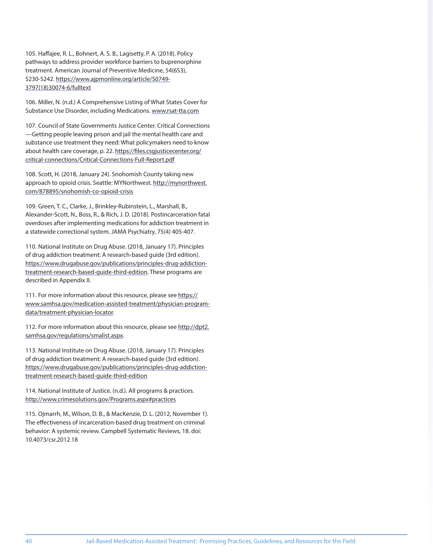105. Haffajee, R. L., Bohnert, A. S. B., Lagisetty, P. A. (2018). Policy pathways to address provider workforce barriers to buprenorphine treatment. American Journal of Preventive Medicine, 54(6S3), S230-S242. https://www.ajpmonline.org/article/S0749- 3797(18)30074-6/fulltext

106. Miller, N. (n.d.) A Comprehensive Listing of What States Cover for Substance Use Disorder, including Medications. www.rsat-tta.com

107. Council of State Governments Justice Center. Critical Connections —Getting people leaving prison and jail the mental health care and substance use treatment they need: What policymakers need to know about health care coverage, p. 22. https://files.csgjusticecenter.org/ critical-connections/Critical-Connections-Full-Report.pdf

108. Scott, H. (2018, January 24). Snohomish County taking new approach to opioid crisis. Seattle: MYNorthwest. http://mynorthwest. com/878895/snohomish-co-opioid-crisis

109. Green, T. C., Clarke, J., Brinkley-Rubinstein, L., Marshall, B., Alexander-Scott, N., Boss, R., & Rich, J. D. (2018). Postincarceration fatal overdoses after implementing medications for addiction treatment in a statewide correctional system. JAMA Psychiatry, 75(4) 405-407.

110. National Institute on Drug Abuse. (2018, January 17). Principles of drug addiction treatment: A research-based guide (3rd edition). https://www.drugabuse.gov/publications/principles-drug-addictiontreatment-research-based-guide-third-edition. These programs are described in Appendix II.

111. For more information about this resource, please see https:// www.samhsa.gov/medication-assisted-treatment/physician-programdata/treatment-physician-locator.

112. For more information about this resource, please see http://dpt2. samhsa.gov/regulations/smalist.aspx.

113. National Institute on Drug Abuse. (2018, January 17). Principles of drug addiction treatment: A research-based guide (3rd edition). https://www.drugabuse.gov/publications/principles-drug-addictiontreatment-research-based-guide-third-edition

114. National Institute of Justice. (n.d.). All programs & practices. http://www.crimesolutions.gov/Programs.aspx#practices

115. Ojmarrh, M., Wilson, D. B., & MacKenzie, D. L. (2012, November 1). The effectiveness of incarceration-based drug treatment on criminal behavior: A systemic review. Campbell Systematic Reviews, 18. doi: 10.4073/csr.2012.18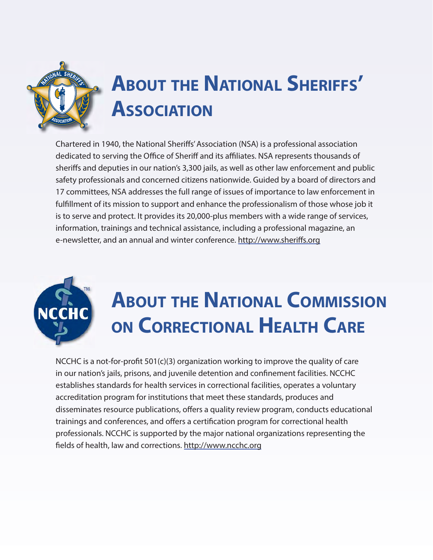

# **ABOUT THE NATIONAL SHERIFFS' ASSOCIATION**

Chartered in 1940, the National Sheriffs' Association (NSA) is a professional association dedicated to serving the Office of Sheriff and its affiliates. NSA represents thousands of sheriffs and deputies in our nation's 3,300 jails, as well as other law enforcement and public safety professionals and concerned citizens nationwide. Guided by a board of directors and 17 committees, NSA addresses the full range of issues of importance to law enforcement in fulfillment of its mission to support and enhance the professionalism of those whose job it is to serve and protect. It provides its 20,000-plus members with a wide range of services, information, trainings and technical assistance, including a professional magazine, an e-newsletter, and an annual and winter conference. http://www.sheriffs.org



# **ABOUT THE NATIONAL COMMISSION ON CORRECTIONAL HEALTH CARE**

NCCHC is a not-for-profit 501(c)(3) organization working to improve the quality of care in our nation's jails, prisons, and juvenile detention and confinement facilities. NCCHC establishes standards for health services in correctional facilities, operates a voluntary accreditation program for institutions that meet these standards, produces and disseminates resource publications, offers a quality review program, conducts educational trainings and conferences, and offers a certification program for correctional health professionals. NCCHC is supported by the major national organizations representing the fields of health, law and corrections. http://www.ncchc.org